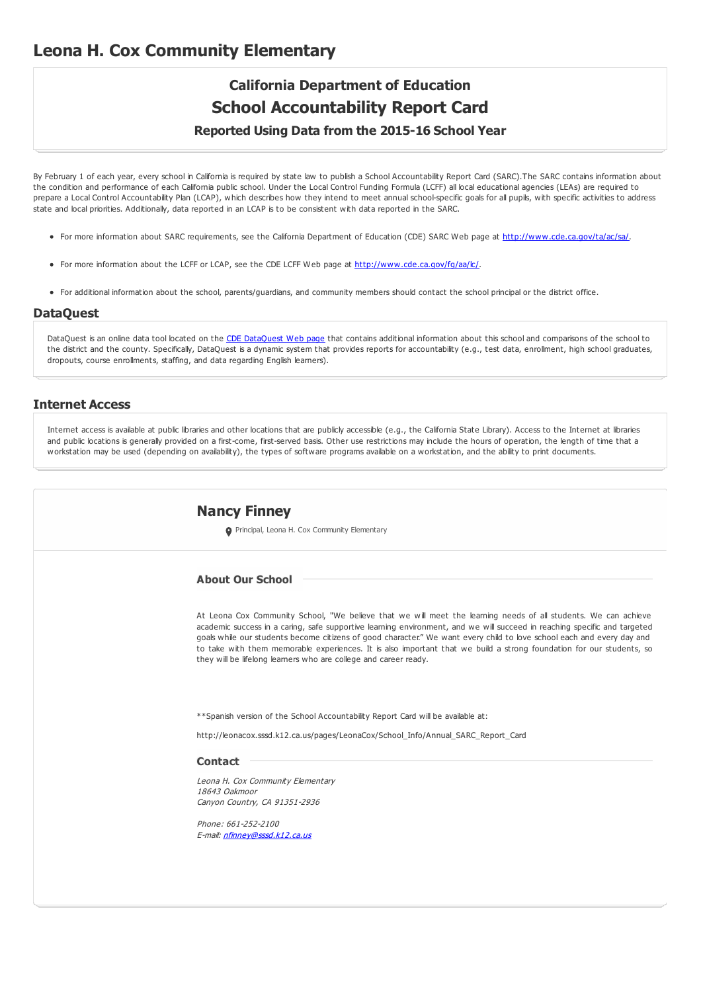# **California Department of Education School Accountability Report Card Reported Using Data from the 2015-16 School Year**

By February 1 of each year, every school in California is required by state law to publish a School Accountability Report Card (SARC).The SARC contains information about the condition and performance of each California public school. Under the Local Control Funding Formula (LCFF) all local educational agencies (LEAs) are required to prepare a Local Control Accountability Plan (LCAP), which describes how they intend to meet annual school-specific goals for all pupils, with specific activities to address state and local priorities. Additionally, data reported in an LCAP is to be consistent with data reported in the SARC.

- For more information about SARC requirements, see the California Department of Education (CDE) SARC Web page at <http://www.cde.ca.gov/ta/ac/sa/>.
- For more information about the LCFF or LCAP, see the CDE LCFF Web page at <http://www.cde.ca.gov/fg/aa/lc/>.
- For additional information about the school, parents/guardians, and community members should contact the school principal or the district office.

#### **DataQuest**

[DataQuest](http://dq.cde.ca.gov/dataquest/) is an online data tool located on the CDE DataQuest Web page that contains additional information about this school and comparisons of the school to the district and the county. Specifically, DataQuest is a dynamic system that provides reports for accountability (e.g., test data, enrollment, high school graduates, dropouts, course enrollments, staffing, and data regarding English learners).

#### **Internet Access**

Internet access is available at public libraries and other locations that are publicly accessible (e.g., the California State Library). Access to the Internet at libraries and public locations is generally provided on a first-come, first-served basis. Other use restrictions may include the hours of operation, the length of time that a workstation may be used (depending on availability), the types of software programs available on a workstation, and the ability to print documents.

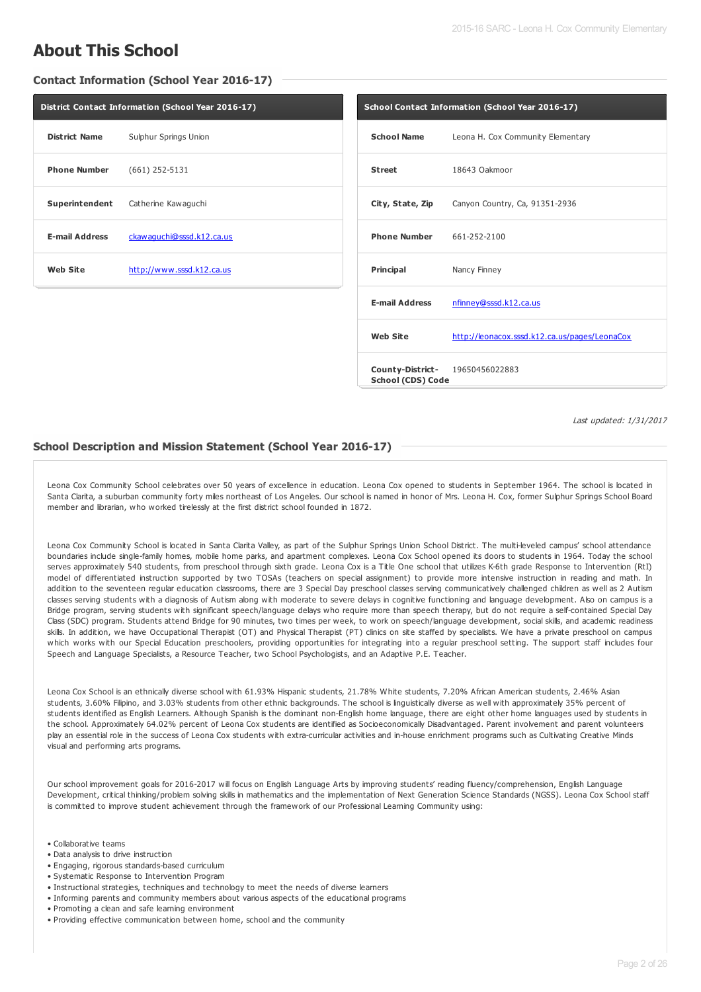# **About This School**

**Contact Information (School Year 2016-17)**

| District Contact Information (School Year 2016-17) |                                           |  |
|----------------------------------------------------|-------------------------------------------|--|
| District Name                                      | Sulphur Springs Union                     |  |
| <b>Phone Number</b>                                | $(661)$ 252-5131                          |  |
|                                                    | <b>Superintendent</b> Catherine Kawaquchi |  |
| <b>E-mail Address</b>                              | ckawaguchi@sssd.k12.ca.us                 |  |
| Web Site                                           | http://www.sssd.k12.ca.us                 |  |

| School Contact Information (School Year 2016-17) |                                                 |  |  |  |
|--------------------------------------------------|-------------------------------------------------|--|--|--|
| <b>School Name</b>                               | Leona H. Cox Community Elementary               |  |  |  |
| <b>Street</b>                                    | 18643 Oakmoor                                   |  |  |  |
|                                                  | City, State, Zip Canyon Country, Ca, 91351-2936 |  |  |  |
| <b>Phone Number</b> 661-252-2100                 |                                                 |  |  |  |
| Principal                                        | Nancy Finney                                    |  |  |  |
| <b>E-mail Address</b>                            | nfinney@sssd.k12.ca.us                          |  |  |  |
| <b>Web Site</b>                                  | http://leonacox.sssd.k12.ca.us/pages/LeonaCox   |  |  |  |
| <b>County-District-</b><br>School (CDS) Code     | 19650456022883                                  |  |  |  |

Last updated: 1/31/2017

### **School Description and Mission Statement (School Year 2016-17)**

Leona Cox Community School celebrates over 50 years of excellence in education. Leona Cox opened to students in September 1964. The school is located in Santa Clarita, a suburban community forty miles northeast of Los Angeles. Our school is named in honor of Mrs. Leona H. Cox, former Sulphur Springs School Board member and librarian, who worked tirelessly at the first district school founded in 1872.

Leona Cox Community School is located in Santa Clarita Valley, as part of the Sulphur Springs Union School District. The multi-leveled campus' school attendance boundaries include single-family homes, mobile home parks, and apartment complexes. Leona Cox School opened its doors to students in 1964. Today the school serves approximately 540 students, from preschool through sixth grade. Leona Cox is a Title One school that utilizes K-6th grade Response to Intervention (RtI) model of differentiated instruction supported by two TOSAs (teachers on special assignment) to provide more intensive instruction in reading and math. In addition to the seventeen regular education classrooms, there are 3 Special Day preschool classes serving communicatively challenged children as well as 2 Autism classes serving students with a diagnosis of Autism along with moderate to severe delays in cognitive functioning and language development. Also on campus is a Bridge program, serving students with significant speech/language delays who require more than speech therapy, but do not require a self-contained Special Day Class (SDC) program. Students attend Bridge for 90 minutes, two times per week, to work on speech/language development, social skills, and academic readiness skills. In addition, we have Occupational Therapist (OT) and Physical Therapist (PT) clinics on site staffed by specialists. We have a private preschool on campus which works with our Special Education preschoolers, providing opportunities for integrating into a regular preschool setting. The support staff includes four Speech and Language Specialists, a Resource Teacher, two School Psychologists, and an Adaptive P.E. Teacher.

Leona Cox School is an ethnically diverse school with 61.93% Hispanic students, 21.78% White students, 7.20% African American students, 2.46% Asian students, 3.60% Filipino, and 3.03% students from other ethnic backgrounds. The school is linguistically diverse as well with approximately 35% percent of students identified as English Learners. Although Spanish is the dominant non-English home language, there are eight other home languages used by students in the school. Approximately 64.02% percent of Leona Cox students are identified as Socioeconomically Disadvantaged. Parent involvement and parent volunteers play an essential role in the success of Leona Cox students with extra-curricular activities and in-house enrichment programs such as Cultivating Creative Minds visual and performing arts programs.

Our school improvement goals for 2016-2017 will focus on English Language Arts by improving students' reading fluency/comprehension, English Language Development, critical thinking/problem solving skills in mathematics and the implementation of Next Generation Science Standards (NGSS). Leona Cox School staff is committed to improve student achievement through the framework of our Professional Learning Community using:

- Collaborative teams
- Data analysis to drive instruction
- Engaging, rigorous standards-based curriculum
- Systematic Response to Intervention Program
- Instructional strategies, techniques and technology to meet the needs of diverse learners
- Informing parents and community members about various aspects of the educational programs
- Promoting a clean and safe learning environment
- Providing effective communication between home, school and the community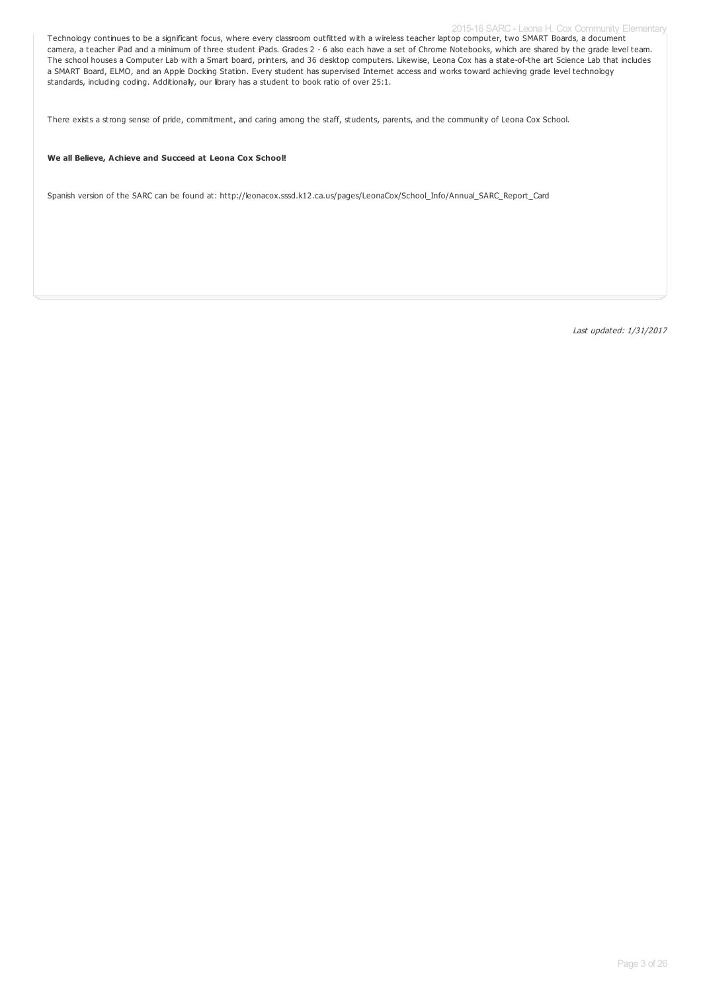Technology continues to be a significant focus, where every classroom outfitted with a wireless teacher laptop computer, two SMART Boards, a document camera, a teacher iPad and a minimum of three student iPads. Grades 2 - 6 also each have a set of Chrome Notebooks, which are shared by the grade level team. The school houses a Computer Lab with a Smart board, printers, and 36 desktop computers. Likewise, Leona Cox has a state-of-the art Science Lab that includes a SMART Board, ELMO, and an Apple Docking Station. Every student has supervised Internet access and works toward achieving grade level technology standards, including coding. Additionally, our library has a student to book ratio of over 25:1.

There exists a strong sense of pride, commitment, and caring among the staff, students, parents, and the community of Leona Cox School.

#### **We all Believe, Achieve and Succeed at Leona Cox School!**

Spanish version of the SARC can be found at: http://leonacox.sssd.k12.ca.us/pages/LeonaCox/School\_Info/Annual\_SARC\_Report\_Card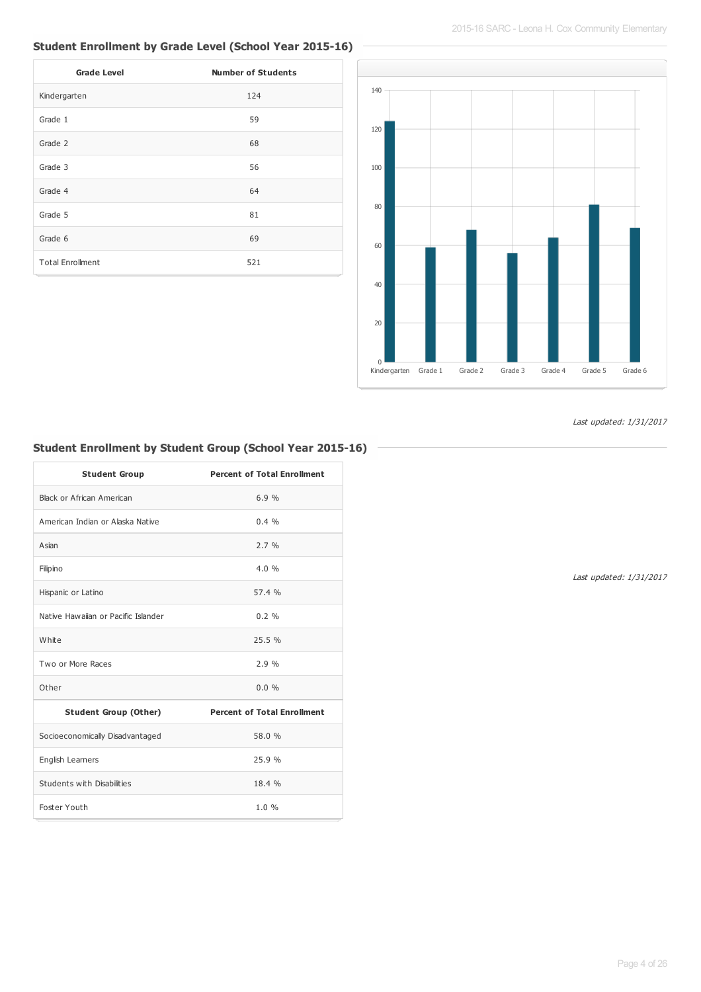# **Student Enrollment by Grade Level (School Year 2015-16)**

| <b>Grade Level</b>      | <b>Number of Students</b> |
|-------------------------|---------------------------|
| Kindergarten            | 124                       |
| Grade 1                 | 59                        |
| Grade 2                 | 68                        |
| Grade 3                 | 56                        |
| Grade 4                 | 64                        |
| Grade 5                 | 81                        |
| Grade 6                 | 69                        |
| <b>Total Enrollment</b> | 521                       |



Last updated: 1/31/2017

# **Student Enrollment by Student Group (School Year 2015-16)**

| <b>Student Group</b>                | <b>Percent of Total Enrollment</b> |
|-------------------------------------|------------------------------------|
| Black or African American           | 6.9%                               |
| American Indian or Alaska Native    | $0.4\%$                            |
| Asian                               | 2.7%                               |
| Filipino                            | 4.0%                               |
| Hispanic or Latino                  | 57.4%                              |
| Native Hawaiian or Pacific Islander | $0.2 \%$                           |
| White                               | 25.5 %                             |
| Two or More Races                   | 2.9%                               |
| Other                               | $0.0\%$                            |
| <b>Student Group (Other)</b>        | <b>Percent of Total Enrollment</b> |
| Socioeconomically Disadvantaged     | 58.0 %                             |
| English Learners                    | 25.9 %                             |
| Students with Disabilities          | 18.4 %                             |
| Foster Youth                        | 1.0%                               |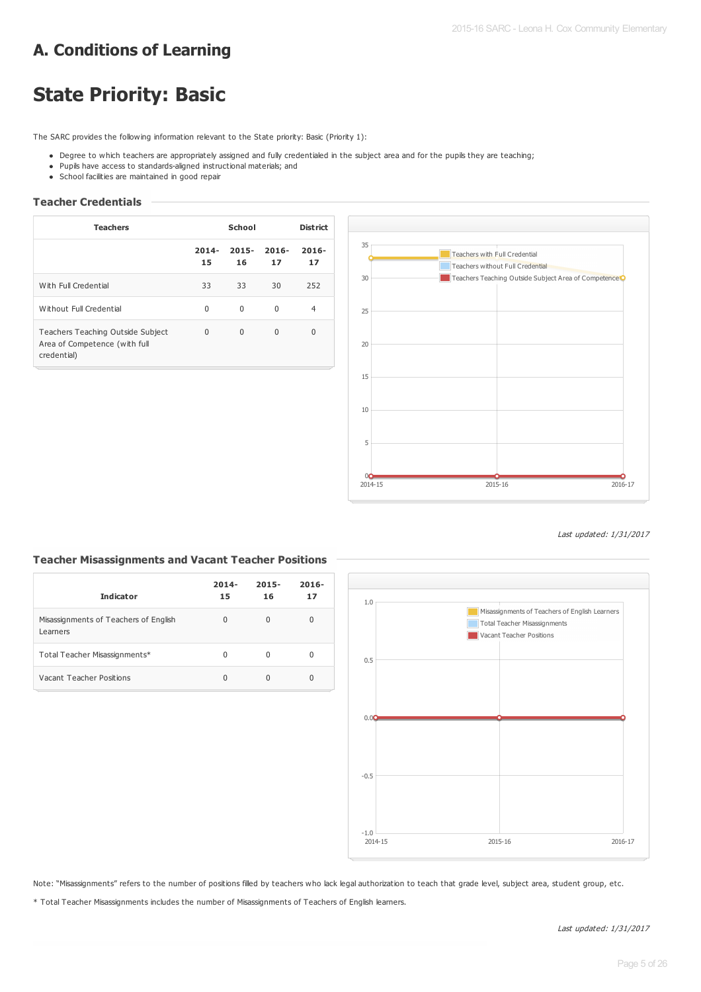# **A. Conditions of Learning**

# **State Priority: Basic**

The SARC provides the following information relevant to the State priority: Basic (Priority 1):

- Degree to which teachers are appropriately assigned and fully credentialed in the subject area and for the pupils they are teaching;
- Pupils have access to standards-aligned instructional materials; and
- School facilities are maintained in good repair

## **Teacher Credentials**

| <b>Teachers</b>                                                                   | School         |                | <b>District</b> |                |
|-----------------------------------------------------------------------------------|----------------|----------------|-----------------|----------------|
|                                                                                   | $2014 -$<br>15 | $2015 -$<br>16 | $2016 -$<br>17  | $2016 -$<br>17 |
| With Full Credential                                                              | 33             | 33             | 30              | 252            |
| Without Full Credential                                                           | $\Omega$       | $\Omega$       | 0               | 4              |
| Teachers Teaching Outside Subject<br>Area of Competence (with full<br>credential) | $\Omega$       | $\Omega$       | $\Omega$        | 0              |



Last updated: 1/31/2017

### **Teacher Misassignments and Vacant Teacher Positions**

| <b>Indicator</b>                                  | $2014 -$<br>15 | $2015 -$<br>16 | $2016 -$<br>17 |
|---------------------------------------------------|----------------|----------------|----------------|
| Misassignments of Teachers of English<br>Learners | 0              | O              | 0              |
| Total Teacher Misassignments*                     | U              |                | 0              |
| Vacant Teacher Positions                          | 0              |                | 0              |



Note: "Misassignments" refers to the number of positions filled by teachers who lack legal authorization to teach that grade level, subject area, student group, etc.

\* Total Teacher Misassignments includes the number of Misassignments of Teachers of English learners.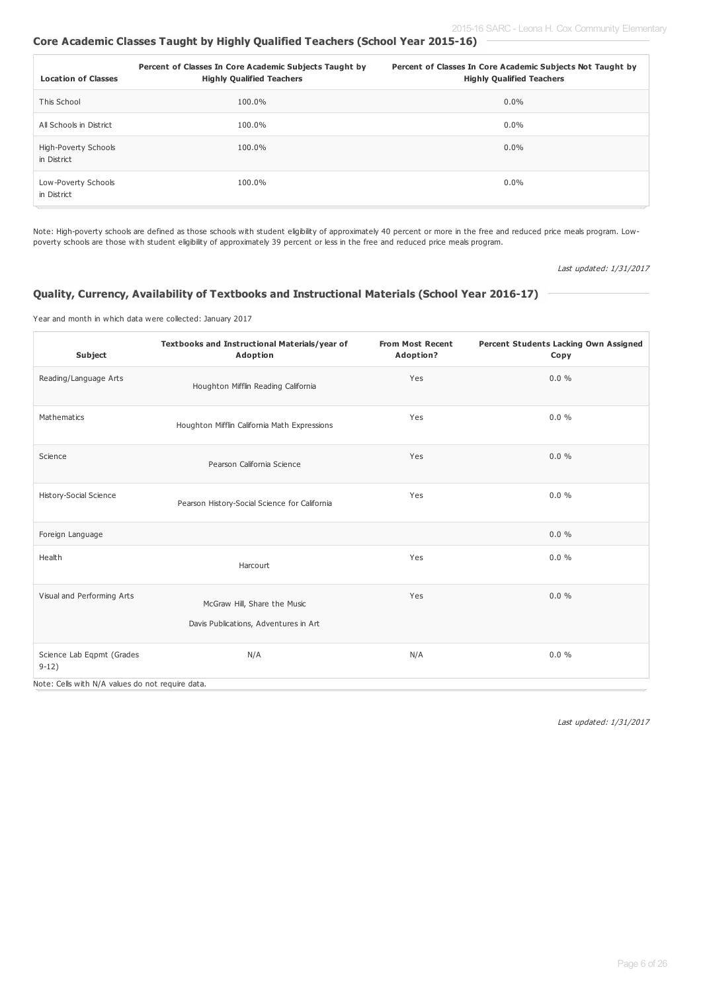## **Core Academic Classes Taught by Highly Qualified Teachers (School Year 2015-16)**

| <b>Location of Classes</b>          | Percent of Classes In Core Academic Subjects Taught by<br><b>Highly Qualified Teachers</b> | Percent of Classes In Core Academic Subjects Not Taught by<br><b>Highly Qualified Teachers</b> |
|-------------------------------------|--------------------------------------------------------------------------------------------|------------------------------------------------------------------------------------------------|
| This School                         | 100.0%                                                                                     | $0.0\%$                                                                                        |
| All Schools in District             | 100.0%                                                                                     | $0.0\%$                                                                                        |
| High-Poverty Schools<br>in District | 100.0%                                                                                     | $0.0\%$                                                                                        |
| Low-Poverty Schools<br>in District  | 100.0%                                                                                     | $0.0\%$                                                                                        |

Note: High-poverty schools are defined as those schools with student eligibility of approximately 40 percent or more in the free and reduced price meals program. Lowpoverty schools are those with student eligibility of approximately 39 percent or less in the free and reduced price meals program.

Last updated: 1/31/2017

#### **Quality, Currency, Availability of Textbooks and Instructional Materials (School Year 2016-17)**

Year and month in which data were collected: January 2017

| Subject                                          | Textbooks and Instructional Materials/year of<br>Adoption             | <b>From Most Recent</b><br>Adoption? | Percent Students Lacking Own Assigned<br>Copy |
|--------------------------------------------------|-----------------------------------------------------------------------|--------------------------------------|-----------------------------------------------|
| Reading/Language Arts                            | Houghton Mifflin Reading California                                   | Yes                                  | $0.0 \%$                                      |
| Mathematics                                      | Houghton Mifflin California Math Expressions                          | Yes                                  | 0.0%                                          |
| Science                                          | Pearson California Science                                            | Yes                                  | $0.0 \%$                                      |
| History-Social Science                           | Pearson History-Social Science for California                         | Yes                                  | $0.0\%$                                       |
| Foreign Language                                 |                                                                       |                                      | $0.0 \%$                                      |
| Health                                           | Harcourt                                                              | Yes                                  | 0.0%                                          |
| Visual and Performing Arts                       | McGraw Hill, Share the Music<br>Davis Publications, Adventures in Art | Yes                                  | $0.0 \%$                                      |
| Science Lab Eqpmt (Grades<br>$9-12)$             | N/A                                                                   | N/A                                  | 0.0%                                          |
| Note: Cells with N/A values do not require data. |                                                                       |                                      |                                               |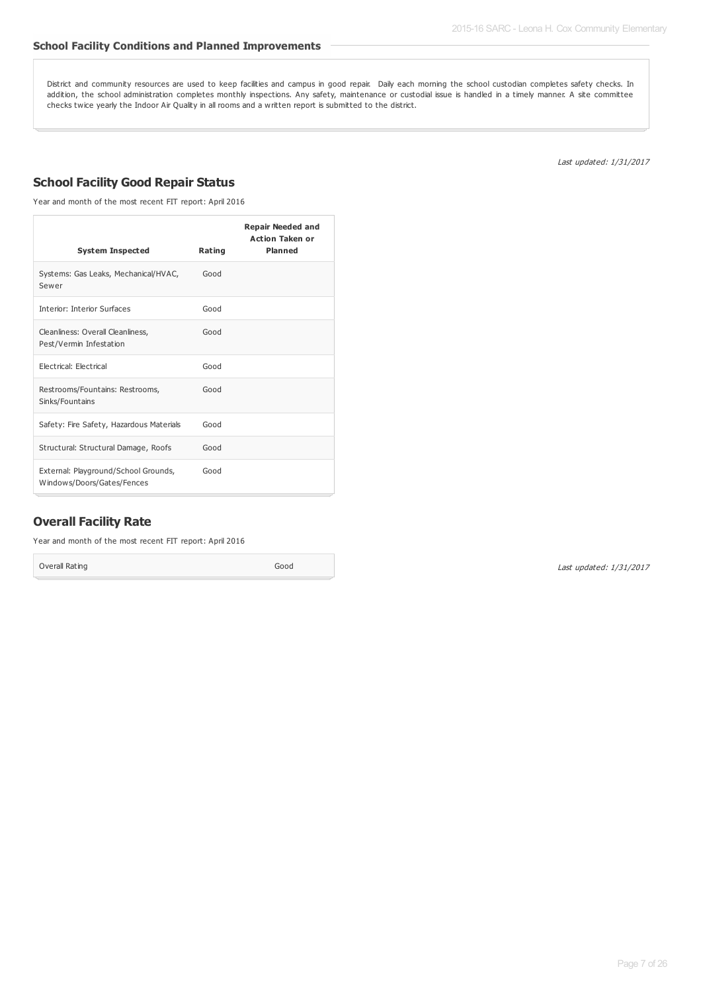District and community resources are used to keep facilities and campus in good repair. Daily each morning the school custodian completes safety checks. In addition, the school administration completes monthly inspections. Any safety, maintenance or custodial issue is handled in a timely manner. A site committee checks twice yearly the Indoor Air Quality in all rooms and a written report is submitted to the district.

Last updated: 1/31/2017

# **School Facility Good Repair Status**

Year and month of the most recent FIT report: April 2016

| <b>System Inspected</b>                                            | Rating | <b>Repair Needed and</b><br><b>Action Taken or</b><br><b>Planned</b> |
|--------------------------------------------------------------------|--------|----------------------------------------------------------------------|
|                                                                    |        |                                                                      |
| Systems: Gas Leaks, Mechanical/HVAC,<br>Sewer                      | Good   |                                                                      |
| <b>Interior: Interior Surfaces</b>                                 | Good   |                                                                      |
| Cleanliness: Overall Cleanliness,<br>Pest/Vermin Infestation       | Good   |                                                                      |
| <b>Electrical: Electrical</b>                                      | Good   |                                                                      |
| Restrooms/Fountains: Restrooms,<br>Sinks/Fountains                 | Good   |                                                                      |
| Safety: Fire Safety, Hazardous Materials                           | Good   |                                                                      |
| Structural: Structural Damage, Roofs                               | Good   |                                                                      |
| External: Playground/School Grounds,<br>Windows/Doors/Gates/Fences | Good   |                                                                      |

# **Overall Facility Rate**

Year and month of the most recent FIT report: April 2016

Overall Rating Good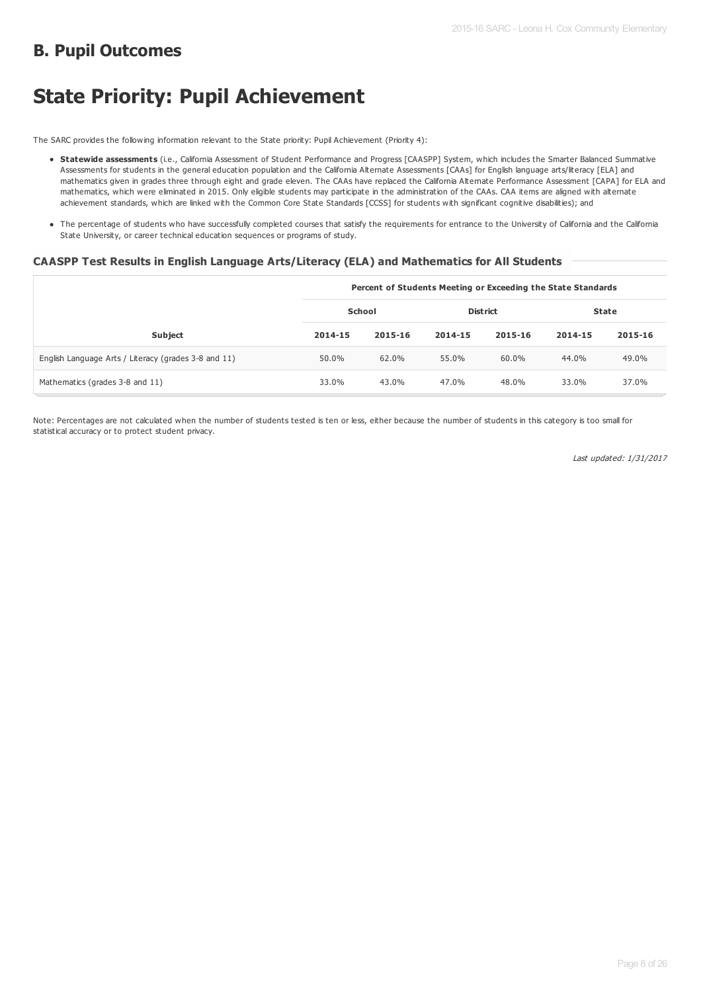# **B. Pupil Outcomes**

# **State Priority: Pupil Achievement**

The SARC provides the following information relevant to the State priority: Pupil Achievement (Priority 4):

- **Statewide assessments** (i.e., California Assessment of Student Performance and Progress [CAASPP] System, which includes the Smarter Balanced Summative Assessments for students in the general education population and the California Alternate Assessments [CAAs] for English language arts/literacy [ELA] and mathematics given in grades three through eight and grade eleven. The CAAs have replaced the California Alternate Performance Assessment [CAPA] for ELA and mathematics, which were eliminated in 2015. Only eligible students may participate in the administration of the CAAs. CAA items are aligned with alternate achievement standards, which are linked with the Common Core State Standards [CCSS] for students with significant cognitive disabilities); and
- The percentage of students who have successfully completed courses that satisfy the requirements for entrance to the University of California and the California State University, or career technical education sequences or programs of study.

### **CAASPP Test Results in English Language Arts/Literacy (ELA) and Mathematics for All Students**

|                                                      |         |         |                 |         | Percent of Students Meeting or Exceeding the State Standards |         |
|------------------------------------------------------|---------|---------|-----------------|---------|--------------------------------------------------------------|---------|
|                                                      | School  |         | <b>District</b> |         | <b>State</b>                                                 |         |
| <b>Subject</b>                                       | 2014-15 | 2015-16 | 2014-15         | 2015-16 | 2014-15                                                      | 2015-16 |
| English Language Arts / Literacy (grades 3-8 and 11) | 50.0%   | 62.0%   | 55.0%           | 60.0%   | 44.0%                                                        | 49.0%   |
| Mathematics (grades 3-8 and 11)                      | 33.0%   | 43.0%   | 47.0%           | 48.0%   | 33.0%                                                        | 37.0%   |

Note: Percentages are not calculated when the number of students tested is ten or less, either because the number of students in this category is too small for statistical accuracy or to protect student privacy.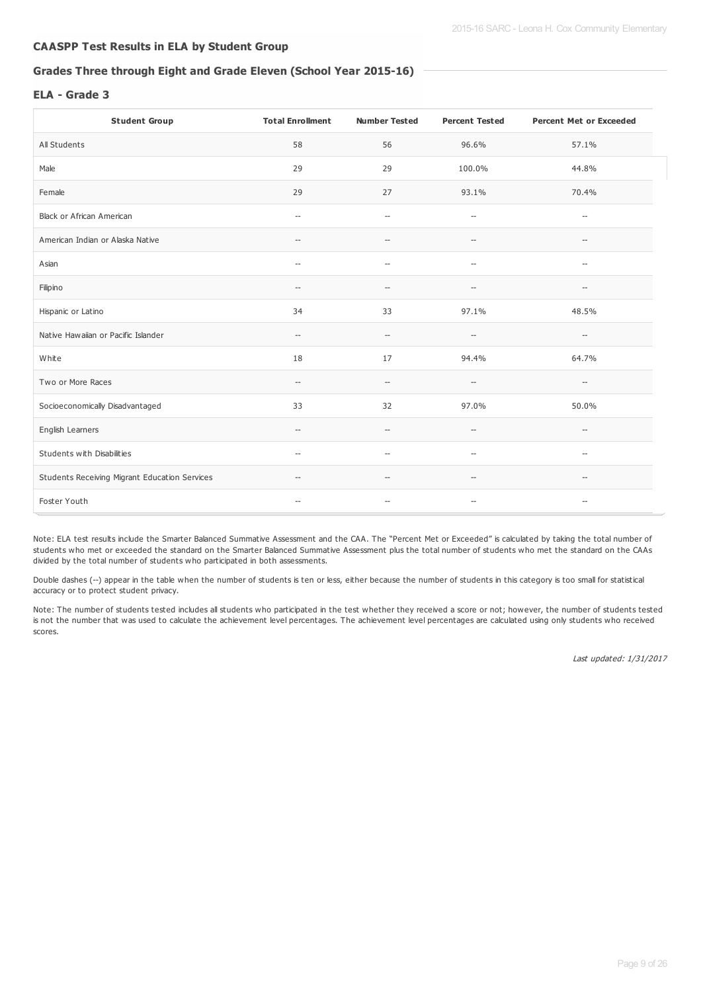## **CAASPP Test Results in ELA by Student Group**

## **Grades Three through Eight and Grade Eleven (School Year 2015-16)**

#### **ELA - Grade 3**

| <b>Student Group</b>                          | <b>Total Enrollment</b>                             | <b>Number Tested</b>                                | <b>Percent Tested</b>                               | <b>Percent Met or Exceeded</b>                      |
|-----------------------------------------------|-----------------------------------------------------|-----------------------------------------------------|-----------------------------------------------------|-----------------------------------------------------|
| All Students                                  | 58                                                  | 56                                                  | 96.6%                                               | 57.1%                                               |
| Male                                          | 29                                                  | 29                                                  | 100.0%                                              | 44.8%                                               |
| Female                                        | 29                                                  | 27                                                  | 93.1%                                               | 70.4%                                               |
| Black or African American                     | $\hspace{0.05cm} -\hspace{0.05cm}$                  | $\hspace{0.05cm} -\hspace{0.05cm} -\hspace{0.05cm}$ | $\hspace{0.05cm} -\hspace{0.05cm} -\hspace{0.05cm}$ | $\hspace{0.05cm} -\hspace{0.05cm}$                  |
| American Indian or Alaska Native              | $\hspace{0.05cm} -\hspace{0.05cm}$                  | $\hspace{0.05cm} \ldots$                            | $\hspace{0.05cm} -\hspace{0.05cm} -\hspace{0.05cm}$ | $\hspace{0.05cm} -\hspace{0.05cm} -\hspace{0.05cm}$ |
| Asian                                         | $\hspace{0.05cm} -\hspace{0.05cm}$                  | $\hspace{0.05cm} \ldots$                            | $\overline{\phantom{a}}$                            | $\hspace{0.05cm} -$                                 |
| Filipino                                      | $\hspace{0.05cm} -\hspace{0.05cm}$                  | $-$                                                 | $\hspace{0.05cm} -\hspace{0.05cm} -\hspace{0.05cm}$ | --                                                  |
| Hispanic or Latino                            | 34                                                  | 33                                                  | 97.1%                                               | 48.5%                                               |
| Native Hawaiian or Pacific Islander           | $\hspace{0.05cm} -\hspace{0.05cm} -\hspace{0.05cm}$ | $\hspace{0.05cm} -\hspace{0.05cm} -\hspace{0.05cm}$ | $\hspace{0.05cm} -\hspace{0.05cm} -\hspace{0.05cm}$ | $\hspace{0.05cm} -\hspace{0.05cm}$                  |
| White                                         | 18                                                  | 17                                                  | 94.4%                                               | 64.7%                                               |
| Two or More Races                             | $\hspace{0.05cm} -\hspace{0.05cm} -\hspace{0.05cm}$ | $\hspace{0.05cm} \ldots$                            | $\hspace{0.05cm} -\hspace{0.05cm} -\hspace{0.05cm}$ | $\hspace{0.05cm} -\hspace{0.05cm} -\hspace{0.05cm}$ |
| Socioeconomically Disadvantaged               | 33                                                  | 32                                                  | 97.0%                                               | 50.0%                                               |
| English Learners                              | $\hspace{0.05cm} -$                                 | $\sim$                                              | $\hspace{0.05cm} -\hspace{0.05cm} -\hspace{0.05cm}$ | $\hspace{0.05cm} -\hspace{0.05cm} -\hspace{0.05cm}$ |
| Students with Disabilities                    | $\hspace{0.05cm} -\hspace{0.05cm} -\hspace{0.05cm}$ | $\hspace{0.05cm} -\hspace{0.05cm}$                  | $-\!$                                               | $\hspace{0.05cm} -\hspace{0.05cm}$                  |
| Students Receiving Migrant Education Services | $\hspace{0.05cm} \dashv$                            | $\hspace{0.05cm} -\hspace{0.05cm} -\hspace{0.05cm}$ | $\hspace{0.05cm} -\hspace{0.05cm} -\hspace{0.05cm}$ | $-\!$                                               |
| Foster Youth                                  | $\hspace{0.05cm} -$                                 | $\hspace{0.05cm} -$                                 | $\hspace{0.05cm} -\hspace{0.05cm} -\hspace{0.05cm}$ | $\hspace{0.05cm} -$                                 |

Note: ELA test results include the Smarter Balanced Summative Assessment and the CAA. The "Percent Met or Exceeded" is calculated by taking the total number of students who met or exceeded the standard on the Smarter Balanced Summative Assessment plus the total number of students who met the standard on the CAAs divided by the total number of students who participated in both assessments.

Double dashes (--) appear in the table when the number of students is ten or less, either because the number of students in this category is too small for statistical accuracy or to protect student privacy.

Note: The number of students tested includes all students who participated in the test whether they received a score or not; however, the number of students tested is not the number that was used to calculate the achievement level percentages. The achievement level percentages are calculated using only students who received scores.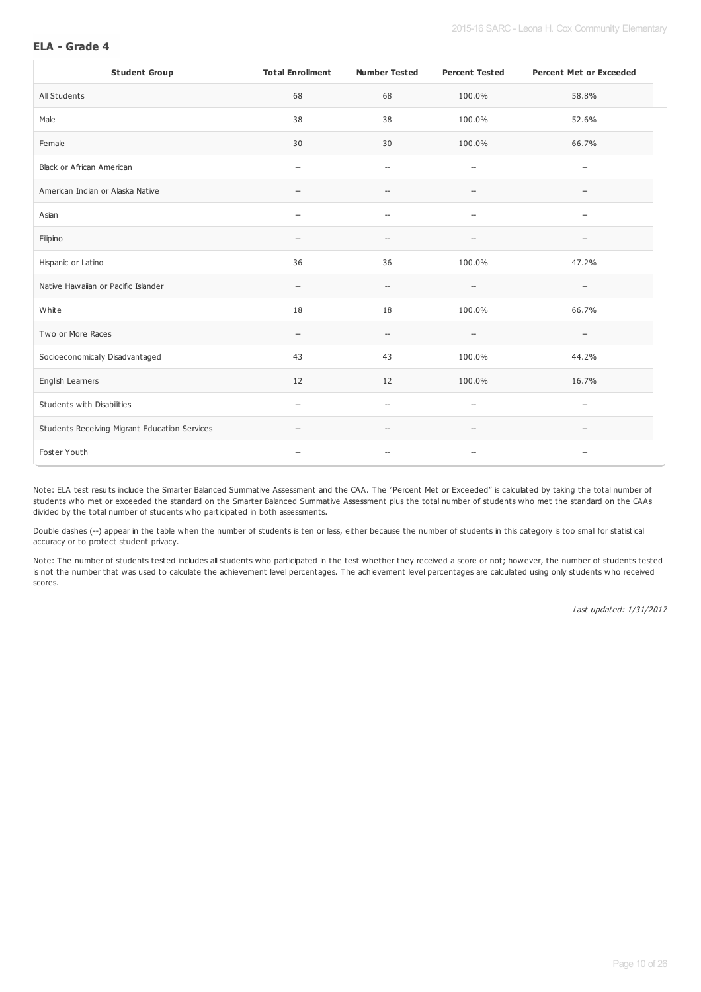#### **ELA - Grade 4**

| <b>Student Group</b>                          | <b>Total Enrollment</b>                             | <b>Number Tested</b>                                | <b>Percent Tested</b>                               | <b>Percent Met or Exceeded</b>                      |
|-----------------------------------------------|-----------------------------------------------------|-----------------------------------------------------|-----------------------------------------------------|-----------------------------------------------------|
| All Students                                  | 68                                                  | 68                                                  | 100.0%                                              | 58.8%                                               |
| Male                                          | 38                                                  | 38                                                  | 100.0%                                              | 52.6%                                               |
| Female                                        | 30                                                  | 30                                                  | 100.0%                                              | 66.7%                                               |
| Black or African American                     | $\hspace{0.05cm} -\hspace{0.05cm}$                  | $-\!$                                               | $\hspace{0.05cm} -\hspace{0.05cm} -\hspace{0.05cm}$ | $\hspace{0.05cm} -\hspace{0.05cm} -\hspace{0.05cm}$ |
| American Indian or Alaska Native              | $\hspace{0.05cm} -\hspace{0.05cm} -\hspace{0.05cm}$ | $\hspace{0.05cm} -$                                 | $-\!$                                               | $-\!$                                               |
| Asian                                         | $\hspace{0.05cm} -\hspace{0.05cm}$                  | $-\!$                                               | $\hspace{0.05cm} -\hspace{0.05cm} -\hspace{0.05cm}$ | $\hspace{0.05cm} -\hspace{0.05cm} -\hspace{0.05cm}$ |
| Filipino                                      | $\overline{\phantom{a}}$                            | $\overline{\phantom{a}}$                            | $\hspace{0.05cm} -\hspace{0.05cm} -\hspace{0.05cm}$ | $\hspace{0.05cm} -$                                 |
| Hispanic or Latino                            | 36                                                  | 36                                                  | 100.0%                                              | 47.2%                                               |
| Native Hawaiian or Pacific Islander           | $\hspace{0.05cm} -\hspace{0.05cm} -\hspace{0.05cm}$ | $\hspace{0.05cm} -\hspace{0.05cm} -\hspace{0.05cm}$ | $-\!$                                               | $\hspace{0.05cm} -\hspace{0.05cm} -\hspace{0.05cm}$ |
| White                                         | 18                                                  | 18                                                  | 100.0%                                              | 66.7%                                               |
| Two or More Races                             | $\hspace{0.05cm} -\hspace{0.05cm} -\hspace{0.05cm}$ | $\overline{\phantom{a}}$                            | $\hspace{0.05cm} -\hspace{0.05cm} -\hspace{0.05cm}$ | $\hspace{0.05cm} -\hspace{0.05cm} -\hspace{0.05cm}$ |
| Socioeconomically Disadvantaged               | 43                                                  | 43                                                  | 100.0%                                              | 44.2%                                               |
| English Learners                              | 12                                                  | 12                                                  | 100.0%                                              | 16.7%                                               |
| Students with Disabilities                    | $\hspace{0.05cm} -\hspace{0.05cm}$                  | $\overline{\phantom{a}}$                            | $\overline{\phantom{a}}$                            | $\overline{\phantom{a}}$                            |
| Students Receiving Migrant Education Services | $\hspace{0.05cm} \dashv$                            | $\hspace{0.05cm} -$                                 | $-\,$                                               | $\hspace{0.05cm} -$                                 |
| Foster Youth                                  | $\hspace{0.05cm} \dashv$                            | $\hspace{0.05cm} -\hspace{0.05cm} -\hspace{0.05cm}$ | $-\!$                                               | $\hspace{0.05cm} -\hspace{0.05cm} -\hspace{0.05cm}$ |

Note: ELA test results include the Smarter Balanced Summative Assessment and the CAA. The "Percent Met or Exceeded" is calculated by taking the total number of students who met or exceeded the standard on the Smarter Balanced Summative Assessment plus the total number of students who met the standard on the CAAs divided by the total number of students who participated in both assessments.

Double dashes (--) appear in the table when the number of students is ten or less, either because the number of students in this category is too small for statistical accuracy or to protect student privacy.

Note: The number of students tested includes all students who participated in the test whether they received a score or not; however, the number of students tested is not the number that was used to calculate the achievement level percentages. The achievement level percentages are calculated using only students who received scores.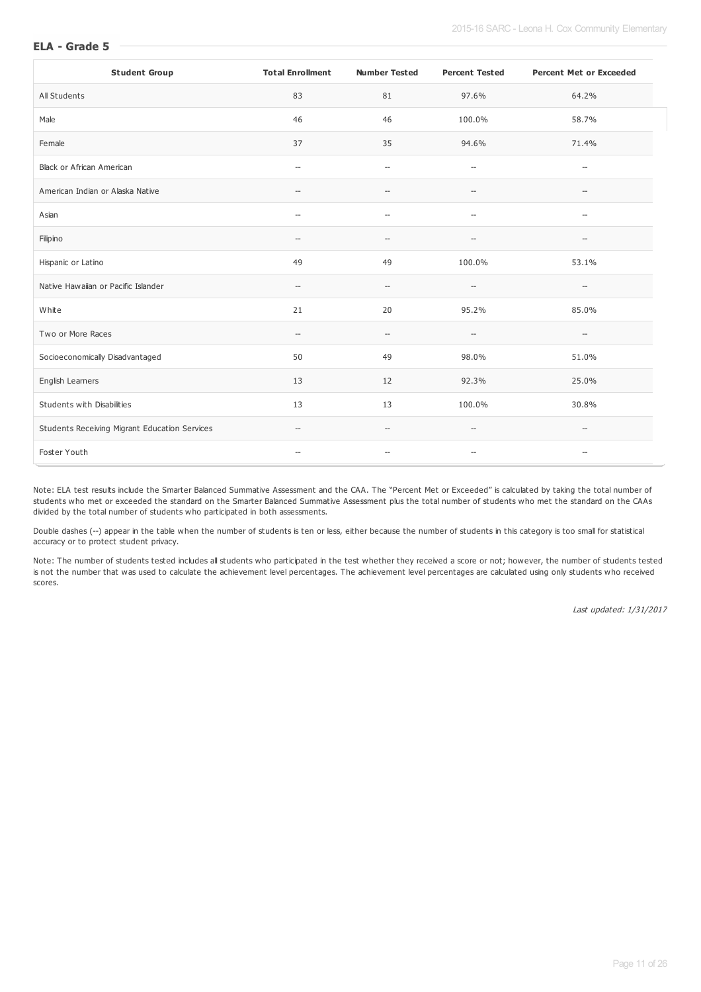#### **ELA - Grade 5**

| <b>Student Group</b>                          | <b>Total Enrollment</b>                             | <b>Number Tested</b>                                | <b>Percent Tested</b>                               | <b>Percent Met or Exceeded</b>                      |
|-----------------------------------------------|-----------------------------------------------------|-----------------------------------------------------|-----------------------------------------------------|-----------------------------------------------------|
| All Students                                  | 83                                                  | 81                                                  | 97.6%                                               | 64.2%                                               |
| Male                                          | 46                                                  | 46                                                  | 100.0%                                              | 58.7%                                               |
| Female                                        | 37                                                  | 35                                                  | 94.6%                                               | 71.4%                                               |
| Black or African American                     | $\hspace{0.05cm} -\hspace{0.05cm}$                  | $\hspace{0.05cm} -\hspace{0.05cm} -\hspace{0.05cm}$ | $\hspace{0.05cm} -\hspace{0.05cm} -\hspace{0.05cm}$ | $\hspace{0.05cm} -\hspace{0.05cm} -\hspace{0.05cm}$ |
| American Indian or Alaska Native              | $\hspace{0.05cm} -\hspace{0.05cm} -\hspace{0.05cm}$ | $-\!$                                               | $\hspace{0.05cm} -\hspace{0.05cm} -\hspace{0.05cm}$ | $\hspace{0.05cm} -\hspace{0.05cm} -\hspace{0.05cm}$ |
| Asian                                         | $\hspace{0.05cm} -\hspace{0.05cm} -\hspace{0.05cm}$ | $\overline{\phantom{a}}$                            | $-\!$                                               | $\hspace{0.05cm} -\hspace{0.05cm} -\hspace{0.05cm}$ |
| Filipino                                      | $\overline{\phantom{a}}$                            | $-$                                                 | $\hspace{0.05cm} -$                                 | $\overline{\phantom{a}}$                            |
| Hispanic or Latino                            | 49                                                  | 49                                                  | 100.0%                                              | 53.1%                                               |
| Native Hawaiian or Pacific Islander           | $\overline{\phantom{a}}$                            | $-\!$                                               | $\hspace{0.05cm} -\hspace{0.05cm} -\hspace{0.05cm}$ | $\hspace{0.05cm} -\hspace{0.05cm} -\hspace{0.05cm}$ |
| White                                         | 21                                                  | 20                                                  | 95.2%                                               | 85.0%                                               |
| Two or More Races                             | $\hspace{0.05cm} -\hspace{0.05cm} -\hspace{0.05cm}$ | $\hspace{0.05cm} -\hspace{0.05cm} -\hspace{0.05cm}$ | $-\!$                                               | $-\!$                                               |
| Socioeconomically Disadvantaged               | 50                                                  | 49                                                  | 98.0%                                               | 51.0%                                               |
| English Learners                              | 13                                                  | 12                                                  | 92.3%                                               | 25.0%                                               |
| Students with Disabilities                    | 13                                                  | 13                                                  | 100.0%                                              | 30.8%                                               |
| Students Receiving Migrant Education Services | $\hspace{0.05cm} -\hspace{0.05cm} -\hspace{0.05cm}$ | $\hspace{0.05cm} -\hspace{0.05cm} -\hspace{0.05cm}$ | $\hspace{0.05cm} -\hspace{0.05cm} -\hspace{0.05cm}$ | $\hspace{0.05cm} -\hspace{0.05cm} -\hspace{0.05cm}$ |
| Foster Youth                                  | $\hspace{0.05cm} -\hspace{0.05cm} -\hspace{0.05cm}$ | $-\!$                                               | $\hspace{0.05cm} -\hspace{0.05cm} -\hspace{0.05cm}$ | $\hspace{0.05cm} -\hspace{0.05cm} -\hspace{0.05cm}$ |

Note: ELA test results include the Smarter Balanced Summative Assessment and the CAA. The "Percent Met or Exceeded" is calculated by taking the total number of students who met or exceeded the standard on the Smarter Balanced Summative Assessment plus the total number of students who met the standard on the CAAs divided by the total number of students who participated in both assessments.

Double dashes (--) appear in the table when the number of students is ten or less, either because the number of students in this category is too small for statistical accuracy or to protect student privacy.

Note: The number of students tested includes all students who participated in the test whether they received a score or not; however, the number of students tested is not the number that was used to calculate the achievement level percentages. The achievement level percentages are calculated using only students who received scores.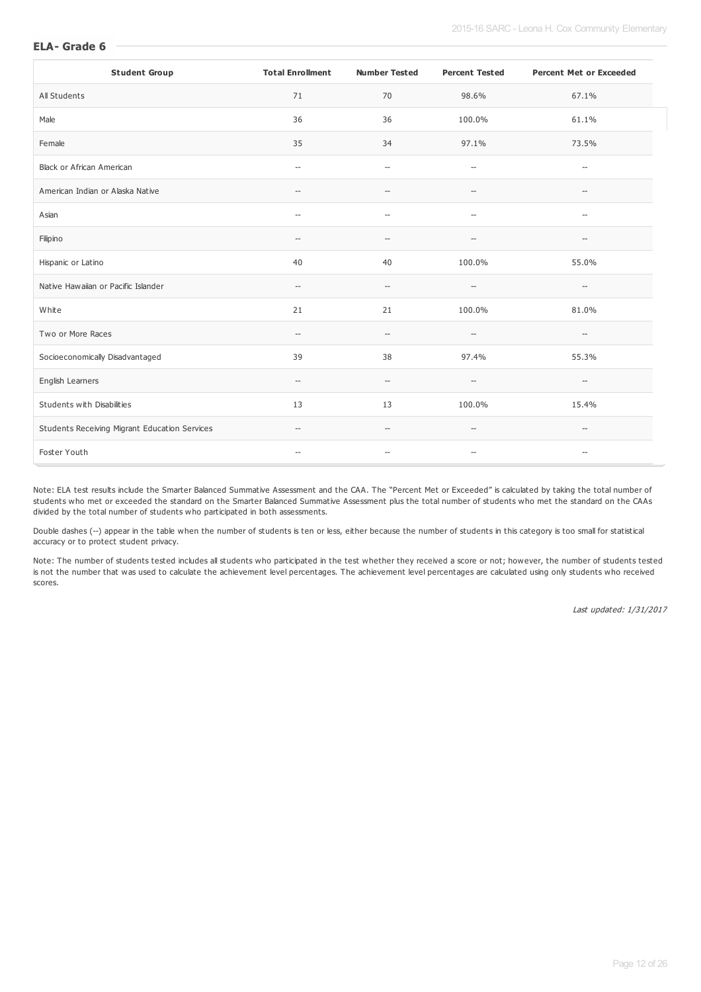#### **ELA- Grade 6**

| <b>Student Group</b>                          | <b>Total Enrollment</b>                             | <b>Number Tested</b>                                | <b>Percent Tested</b>                               | <b>Percent Met or Exceeded</b>                      |  |
|-----------------------------------------------|-----------------------------------------------------|-----------------------------------------------------|-----------------------------------------------------|-----------------------------------------------------|--|
| All Students                                  | 71                                                  | 70                                                  | 98.6%                                               | 67.1%                                               |  |
| Male                                          | 36                                                  | 36                                                  | 100.0%                                              | 61.1%                                               |  |
| Female                                        | 35                                                  | 34                                                  | 97.1%                                               | 73.5%                                               |  |
| Black or African American                     | $\overline{\phantom{a}}$                            | $\hspace{0.05cm} \ldots$                            | $\hspace{0.05cm} -\hspace{0.05cm} -\hspace{0.05cm}$ | $\hspace{0.05cm} \ldots$                            |  |
| American Indian or Alaska Native              | $\hspace{0.05cm} -\hspace{0.05cm} -\hspace{0.05cm}$ | $\hspace{0.05cm} -\hspace{0.05cm} -\hspace{0.05cm}$ | $-\!$                                               | $\hspace{0.05cm} -\hspace{0.05cm} -\hspace{0.05cm}$ |  |
| Asian                                         | $\hspace{0.05cm} -\hspace{0.05cm} -\hspace{0.05cm}$ | $-\!$                                               | $\hspace{0.05cm} -\hspace{0.05cm} -\hspace{0.05cm}$ | $\hspace{0.05cm} -\hspace{0.05cm} -\hspace{0.05cm}$ |  |
| Filipino                                      | $\overline{\phantom{a}}$                            | $\overline{\phantom{a}}$                            | $\hspace{0.05cm} -$                                 | $\hspace{0.05cm} -$                                 |  |
| Hispanic or Latino                            | 40                                                  | 40                                                  | 100.0%                                              | 55.0%                                               |  |
| Native Hawaiian or Pacific Islander           | $\hspace{0.05cm} -\hspace{0.05cm}$                  | $\hspace{0.05cm} -\hspace{0.05cm} -\hspace{0.05cm}$ | $\hspace{0.05cm} -\hspace{0.05cm} -\hspace{0.05cm}$ | $\hspace{0.05cm} -\hspace{0.05cm} -\hspace{0.05cm}$ |  |
| White                                         | 21                                                  | 21                                                  | 100.0%                                              | 81.0%                                               |  |
| Two or More Races                             | $\hspace{0.05cm} -\hspace{0.05cm} -\hspace{0.05cm}$ | $\hspace{0.05cm} -$                                 | $-\!$                                               | $\hspace{0.05cm} -\hspace{0.05cm} -\hspace{0.05cm}$ |  |
| Socioeconomically Disadvantaged               | 39                                                  | 38                                                  | 97.4%                                               | 55.3%                                               |  |
| English Learners                              | $\overline{\phantom{a}}$                            | $\overline{\phantom{a}}$                            | $\hspace{0.05cm} -\hspace{0.05cm} -\hspace{0.05cm}$ | $\hspace{0.05cm} -\hspace{0.05cm} -\hspace{0.05cm}$ |  |
| Students with Disabilities                    | 13                                                  | 13                                                  | 100.0%                                              | 15.4%                                               |  |
| Students Receiving Migrant Education Services | $\hspace{0.05cm} -\hspace{0.05cm} -\hspace{0.05cm}$ | $\hspace{0.05cm} -\hspace{0.05cm} -\hspace{0.05cm}$ | $\hspace{0.05cm} -\hspace{0.05cm} -\hspace{0.05cm}$ | $\hspace{0.05cm} -\hspace{0.05cm} -\hspace{0.05cm}$ |  |
| Foster Youth                                  | $\hspace{0.05cm} -\hspace{0.05cm}$                  | $\hspace{0.05cm} -\hspace{0.05cm} -\hspace{0.05cm}$ | $\hspace{0.05cm} -\hspace{0.05cm} -\hspace{0.05cm}$ | $\hspace{0.05cm} -\hspace{0.05cm} -\hspace{0.05cm}$ |  |

Note: ELA test results include the Smarter Balanced Summative Assessment and the CAA. The "Percent Met or Exceeded" is calculated by taking the total number of students who met or exceeded the standard on the Smarter Balanced Summative Assessment plus the total number of students who met the standard on the CAAs divided by the total number of students who participated in both assessments.

Double dashes (--) appear in the table when the number of students is ten or less, either because the number of students in this category is too small for statistical accuracy or to protect student privacy.

Note: The number of students tested includes all students who participated in the test whether they received a score or not; however, the number of students tested is not the number that was used to calculate the achievement level percentages. The achievement level percentages are calculated using only students who received scores.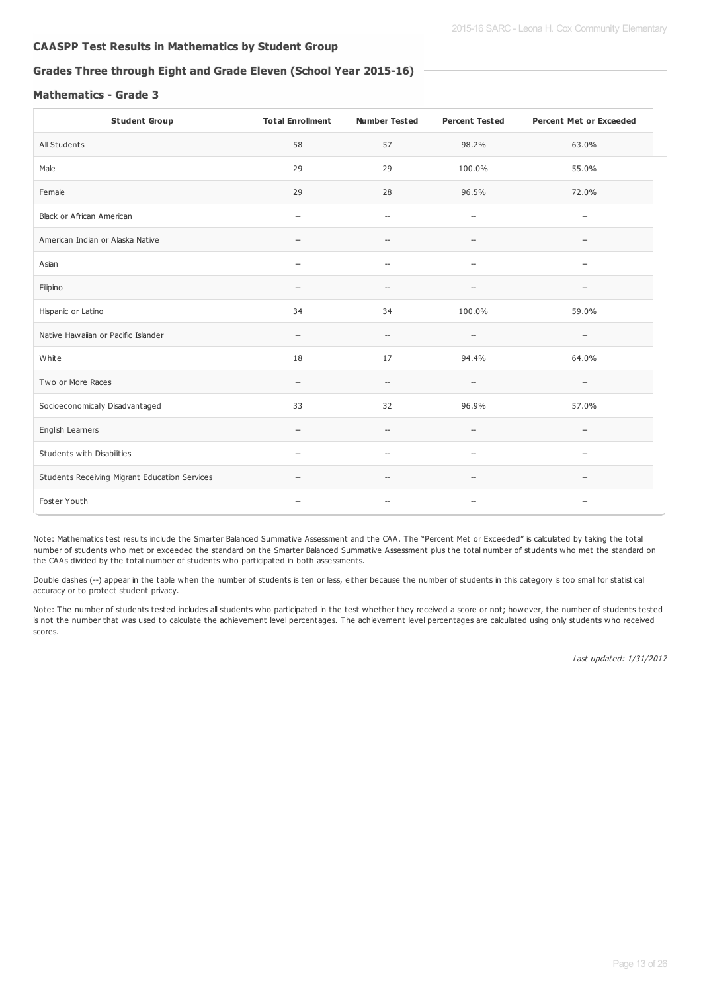## **CAASPP Test Results in Mathematics by Student Group**

## **Grades Three through Eight and Grade Eleven (School Year 2015-16)**

#### **Mathematics - Grade 3**

| <b>Student Group</b>                          | <b>Total Enrollment</b>                             | <b>Number Tested</b>                                | <b>Percent Tested</b>                               | <b>Percent Met or Exceeded</b>                      |
|-----------------------------------------------|-----------------------------------------------------|-----------------------------------------------------|-----------------------------------------------------|-----------------------------------------------------|
| All Students                                  | 58                                                  | 57                                                  | 98.2%                                               | 63.0%                                               |
| Male                                          | 29                                                  | 29                                                  | 100.0%                                              | 55.0%                                               |
| Female                                        | 29                                                  | 28                                                  | 96.5%                                               | 72.0%                                               |
| Black or African American                     | $\overline{\phantom{a}}$                            | $\hspace{0.05cm} -\hspace{0.05cm} -\hspace{0.05cm}$ | $\hspace{0.05cm} \ldots$                            | $\hspace{0.05cm} -\hspace{0.05cm}$                  |
| American Indian or Alaska Native              | $\hspace{0.05cm} -\hspace{0.05cm} -\hspace{0.05cm}$ | $\overline{\phantom{a}}$                            | $\hspace{0.05cm} -\hspace{0.05cm} -\hspace{0.05cm}$ | $-\!$                                               |
| Asian                                         | $\overline{\phantom{a}}$                            | $\hspace{0.05cm} \ldots$                            | $\hspace{0.05cm} -\hspace{0.05cm} -\hspace{0.05cm}$ | $\overline{\phantom{a}}$                            |
| Filipino                                      | $\overline{\phantom{a}}$                            | $\overline{\phantom{a}}$                            | $\overline{\phantom{a}}$                            | $\overline{\phantom{0}}$                            |
| Hispanic or Latino                            | 34                                                  | 34                                                  | 100.0%                                              | 59.0%                                               |
| Native Hawaiian or Pacific Islander           | $\hspace{0.05cm} -\hspace{0.05cm}$                  | $\hspace{0.05cm} -\hspace{0.05cm} -\hspace{0.05cm}$ | $\hspace{0.05cm} -\hspace{0.05cm} -\hspace{0.05cm}$ | $-$                                                 |
| White                                         | 18                                                  | 17                                                  | 94.4%                                               | 64.0%                                               |
| Two or More Races                             | $\hspace{0.05cm} -$                                 | $\hspace{0.05cm} -\hspace{0.05cm} -\hspace{0.05cm}$ | $-\!$                                               | $\hspace{0.05cm} -\hspace{0.05cm}$                  |
| Socioeconomically Disadvantaged               | 33                                                  | 32                                                  | 96.9%                                               | 57.0%                                               |
| English Learners                              | $\hspace{0.05cm} -\hspace{0.05cm} -\hspace{0.05cm}$ | $\overline{\phantom{a}}$                            | $\hspace{0.05cm} -\hspace{0.05cm} -\hspace{0.05cm}$ | $\hspace{0.05cm} -\hspace{0.05cm} -\hspace{0.05cm}$ |
| Students with Disabilities                    | $-$                                                 | $\overline{\phantom{a}}$                            | $\overline{\phantom{a}}$                            | $\overline{\phantom{a}}$                            |
| Students Receiving Migrant Education Services | $\hspace{0.05cm} -$                                 | $\overline{\phantom{a}}$                            | $\hspace{0.05cm} -\hspace{0.05cm} -\hspace{0.05cm}$ | $\hspace{0.05cm} -\hspace{0.05cm}$                  |
| Foster Youth                                  | $\hspace{0.05cm} -\hspace{0.05cm}$                  | $\hspace{0.05cm} -$                                 | $\hspace{0.05cm} -\hspace{0.05cm} -\hspace{0.05cm}$ | $-\!$                                               |

Note: Mathematics test results include the Smarter Balanced Summative Assessment and the CAA. The "Percent Met or Exceeded" is calculated by taking the total number of students who met or exceeded the standard on the Smarter Balanced Summative Assessment plus the total number of students who met the standard on the CAAs divided by the total number of students who participated in both assessments.

Double dashes (--) appear in the table when the number of students is ten or less, either because the number of students in this category is too small for statistical accuracy or to protect student privacy.

Note: The number of students tested includes all students who participated in the test whether they received a score or not; however, the number of students tested is not the number that was used to calculate the achievement level percentages. The achievement level percentages are calculated using only students who received scores.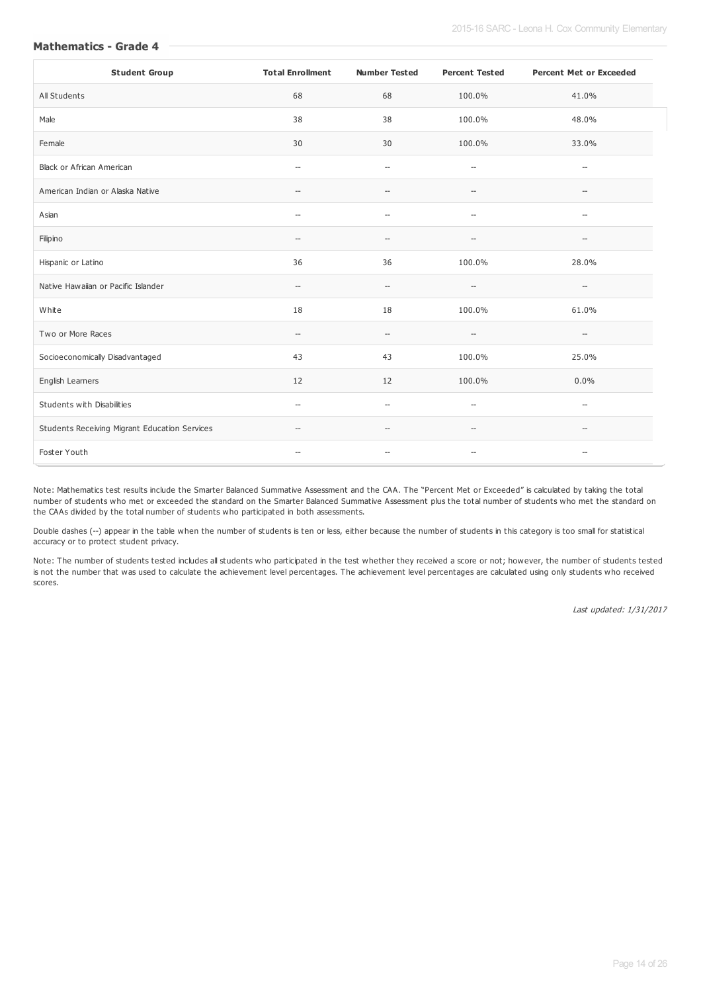| <b>Student Group</b>                          | <b>Total Enrollment</b>                             | <b>Number Tested</b>                                | <b>Percent Tested</b>                               | <b>Percent Met or Exceeded</b>                      |  |
|-----------------------------------------------|-----------------------------------------------------|-----------------------------------------------------|-----------------------------------------------------|-----------------------------------------------------|--|
| All Students                                  | 68                                                  | 68                                                  | 100.0%                                              | 41.0%                                               |  |
| Male                                          | 38                                                  | 38                                                  | 100.0%                                              | 48.0%                                               |  |
| Female                                        | 30                                                  | 30                                                  | 100.0%                                              | 33.0%                                               |  |
| Black or African American                     | $\hspace{0.05cm} -\hspace{0.05cm}$                  | $\hspace{0.05cm} -\hspace{0.05cm} -\hspace{0.05cm}$ | $-\!$                                               | $\hspace{0.05cm} -\hspace{0.05cm} -\hspace{0.05cm}$ |  |
| American Indian or Alaska Native              | $\hspace{0.05cm} -\hspace{0.05cm} -\hspace{0.05cm}$ | $\overline{\phantom{a}}$                            | $-\!$                                               | $\overline{\phantom{a}}$                            |  |
| Asian                                         | $\overline{\phantom{a}}$                            | $\overline{\phantom{a}}$                            | $\overline{\phantom{a}}$                            | $\hspace{0.05cm} \ldots$                            |  |
| Filipino                                      | $\overline{\phantom{a}}$                            | $\overline{\phantom{a}}$                            | $-$                                                 | $\sim$                                              |  |
| Hispanic or Latino                            | 36                                                  | 36                                                  | 100.0%                                              | 28.0%                                               |  |
| Native Hawaiian or Pacific Islander           | $\hspace{0.05cm} -\hspace{0.05cm}$                  | $\hspace{0.05cm} -\hspace{0.05cm} -\hspace{0.05cm}$ | $\hspace{0.05cm} -\hspace{0.05cm} -\hspace{0.05cm}$ | $\overline{\phantom{a}}$                            |  |
| White                                         | 18                                                  | 18                                                  | 100.0%                                              | 61.0%                                               |  |
| Two or More Races                             | $\hspace{0.05cm} -\hspace{0.05cm}$                  | $\hspace{0.05cm} -\hspace{0.05cm} -\hspace{0.05cm}$ | $\hspace{0.05cm} -\hspace{0.05cm} -\hspace{0.05cm}$ | $\hspace{0.05cm} -\hspace{0.05cm} -\hspace{0.05cm}$ |  |
| Socioeconomically Disadvantaged               | 43                                                  | 43                                                  | 100.0%                                              | 25.0%                                               |  |
| English Learners                              | 12                                                  | 12                                                  | 100.0%                                              | 0.0%                                                |  |
| Students with Disabilities                    | $\overline{\phantom{a}}$                            | $\overline{\phantom{a}}$                            | $\overline{\phantom{a}}$                            | $\hspace{0.05cm} \ldots$                            |  |
| Students Receiving Migrant Education Services | --                                                  | --                                                  | $\hspace{0.05cm} -\hspace{0.05cm} -\hspace{0.05cm}$ | $\hspace{0.05cm} -\hspace{0.05cm} -\hspace{0.05cm}$ |  |
| Foster Youth                                  | $\hspace{0.05cm} -\hspace{0.05cm}$                  | $\hspace{0.05cm} -\hspace{0.05cm} -\hspace{0.05cm}$ | $\hspace{0.05cm} -\hspace{0.05cm} -\hspace{0.05cm}$ | $\hspace{0.05cm} -\hspace{0.05cm} -\hspace{0.05cm}$ |  |

**Mathematics - Grade 4**

Note: Mathematics test results include the Smarter Balanced Summative Assessment and the CAA. The "Percent Met or Exceeded" is calculated by taking the total number of students who met or exceeded the standard on the Smarter Balanced Summative Assessment plus the total number of students who met the standard on the CAAs divided by the total number of students who participated in both assessments.

Double dashes (--) appear in the table when the number of students is ten or less, either because the number of students in this category is too small for statistical accuracy or to protect student privacy.

Note: The number of students tested includes all students who participated in the test whether they received a score or not; however, the number of students tested is not the number that was used to calculate the achievement level percentages. The achievement level percentages are calculated using only students who received scores.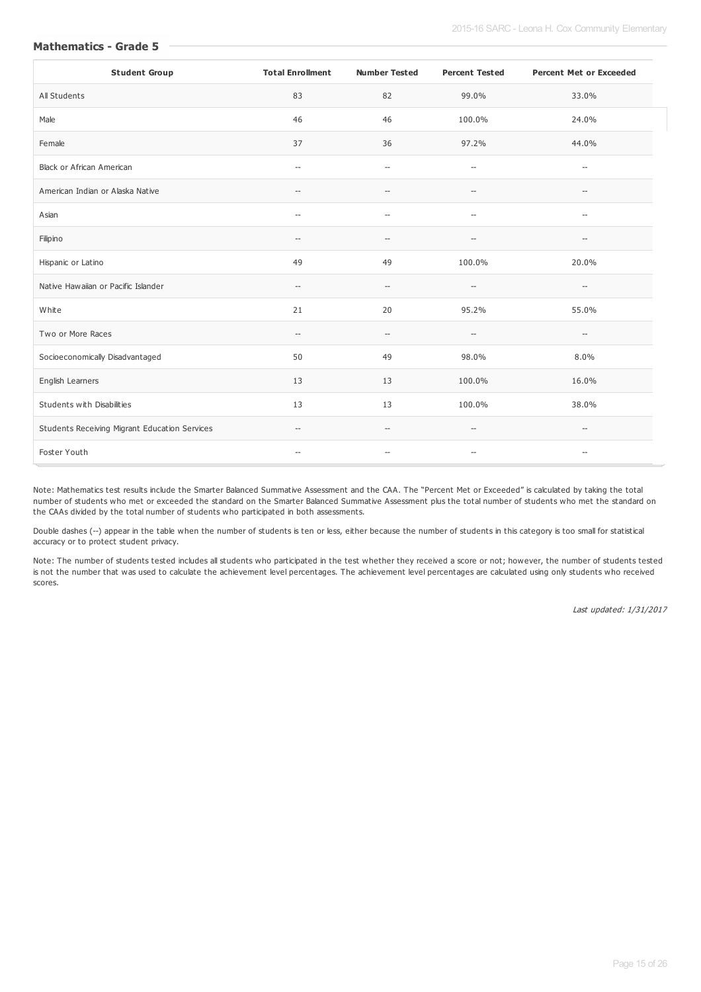| <b>Student Group</b>                          | <b>Total Enrollment</b>                             | <b>Number Tested</b>                                | <b>Percent Tested</b>                               | <b>Percent Met or Exceeded</b>                      |
|-----------------------------------------------|-----------------------------------------------------|-----------------------------------------------------|-----------------------------------------------------|-----------------------------------------------------|
| All Students                                  | 83                                                  | 82                                                  | 99.0%                                               | 33.0%                                               |
| Male                                          | 46                                                  | 46                                                  | 100.0%                                              | 24.0%                                               |
| Female                                        | 37                                                  | 36                                                  | 97.2%                                               | 44.0%                                               |
| Black or African American                     | $\hspace{0.05cm} -\hspace{0.05cm}$                  | $\hspace{0.05cm} -\hspace{0.05cm} -\hspace{0.05cm}$ | $\hspace{0.05cm} \ldots$                            | $\hspace{0.05cm} -\hspace{0.05cm} -\hspace{0.05cm}$ |
| American Indian or Alaska Native              | $\hspace{0.05cm} -\hspace{0.05cm} -\hspace{0.05cm}$ | $\overline{\phantom{a}}$                            | $\overline{\phantom{a}}$                            | $\overline{\phantom{a}}$                            |
| Asian                                         | $\overline{\phantom{a}}$                            | $\overline{\phantom{a}}$                            | $\overline{\phantom{a}}$                            | $\hspace{0.05cm} \ldots$                            |
| Filipino                                      | $\overline{\phantom{a}}$                            | $\overline{\phantom{a}}$                            | $-$                                                 | $\sim$                                              |
| Hispanic or Latino                            | 49                                                  | 49                                                  | 100.0%                                              | 20.0%                                               |
| Native Hawaiian or Pacific Islander           | $\hspace{0.05cm} -\hspace{0.05cm} -\hspace{0.05cm}$ | $\hspace{0.05cm} -\hspace{0.05cm} -\hspace{0.05cm}$ | $\hspace{0.05cm} -\hspace{0.05cm} -\hspace{0.05cm}$ | $\overline{\phantom{a}}$                            |
| White                                         | 21                                                  | 20                                                  | 95.2%                                               | 55.0%                                               |
| Two or More Races                             | $\hspace{0.05cm} -\hspace{0.05cm}$                  | $\hspace{0.05cm} -\hspace{0.05cm} -\hspace{0.05cm}$ | $\hspace{0.05cm} -\hspace{0.05cm} -\hspace{0.05cm}$ | $-\!$                                               |
| Socioeconomically Disadvantaged               | 50                                                  | 49                                                  | 98.0%                                               | 8.0%                                                |
| English Learners                              | 13                                                  | 13                                                  | 100.0%                                              | 16.0%                                               |
| Students with Disabilities                    | 13                                                  | 13                                                  | 100.0%                                              | 38.0%                                               |
| Students Receiving Migrant Education Services | $\hspace{0.05cm} \dashv$                            | $\hspace{0.05cm} -\hspace{0.05cm} -\hspace{0.05cm}$ | $-\!$                                               | $\hspace{0.05cm} -\hspace{0.05cm} -\hspace{0.05cm}$ |
| Foster Youth                                  | $\hspace{0.05cm} -\hspace{0.05cm}$                  | $-\!$                                               | $\hspace{0.05cm} -\hspace{0.05cm} -\hspace{0.05cm}$ | $\hspace{0.05cm} -\hspace{0.05cm} -\hspace{0.05cm}$ |

**Mathematics - Grade 5**

Note: Mathematics test results include the Smarter Balanced Summative Assessment and the CAA. The "Percent Met or Exceeded" is calculated by taking the total number of students who met or exceeded the standard on the Smarter Balanced Summative Assessment plus the total number of students who met the standard on the CAAs divided by the total number of students who participated in both assessments.

Double dashes (--) appear in the table when the number of students is ten or less, either because the number of students in this category is too small for statistical accuracy or to protect student privacy.

Note: The number of students tested includes all students who participated in the test whether they received a score or not; however, the number of students tested is not the number that was used to calculate the achievement level percentages. The achievement level percentages are calculated using only students who received scores.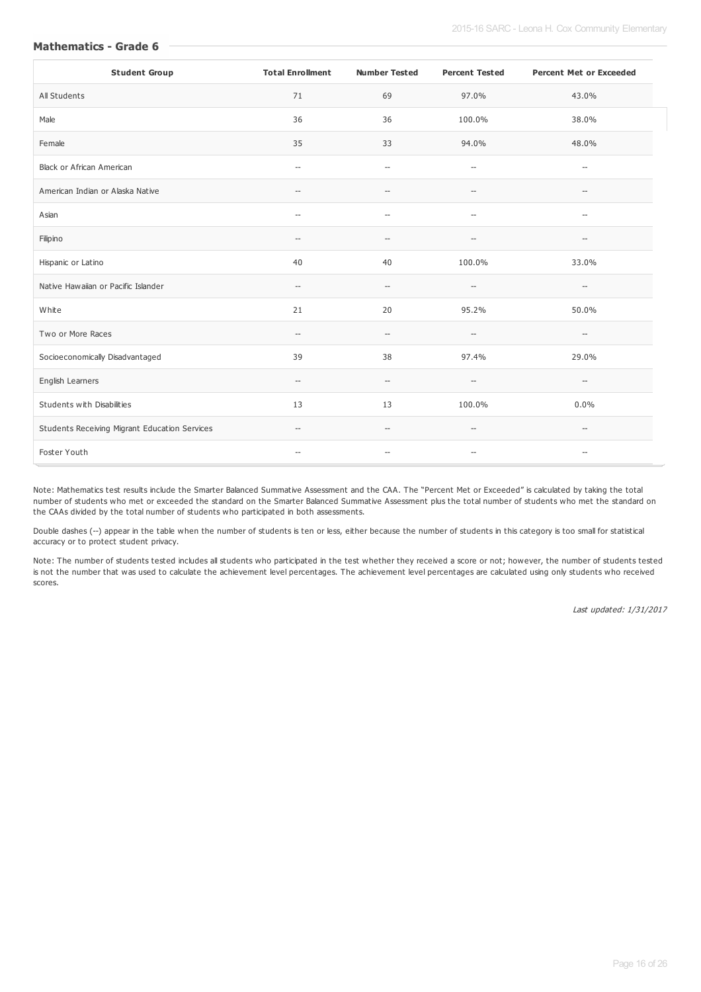| <b>Student Group</b>                          | <b>Total Enrollment</b>                             | <b>Number Tested</b>                                | <b>Percent Tested</b>                               | <b>Percent Met or Exceeded</b>                      |  |
|-----------------------------------------------|-----------------------------------------------------|-----------------------------------------------------|-----------------------------------------------------|-----------------------------------------------------|--|
| All Students                                  | 71                                                  | 69                                                  | 97.0%                                               | 43.0%                                               |  |
| Male                                          | 36                                                  | 36                                                  | 100.0%                                              | 38.0%                                               |  |
| Female                                        | 35                                                  | 33                                                  | 94.0%                                               | 48.0%                                               |  |
| <b>Black or African American</b>              | $\hspace{0.05cm} -\hspace{0.05cm}$                  | $\hspace{0.05cm} -\hspace{0.05cm} -\hspace{0.05cm}$ | $-\!$                                               | $\hspace{0.05cm} -\hspace{0.05cm} -\hspace{0.05cm}$ |  |
| American Indian or Alaska Native              | $\hspace{0.05cm}--\hspace{0.05cm}$                  | --                                                  | $-\hbox{--}$                                        | $-\!$                                               |  |
| Asian                                         | $\overline{\phantom{a}}$                            | $\overline{\phantom{a}}$                            | $\hspace{0.05cm} -\hspace{0.05cm} -\hspace{0.05cm}$ | $\overline{\phantom{a}}$                            |  |
| Filipino                                      | $\hspace{0.05cm} -\hspace{0.05cm}$                  | --                                                  | $\hspace{0.05cm} -\hspace{0.05cm} -\hspace{0.05cm}$ | $\overline{\phantom{a}}$                            |  |
| Hispanic or Latino                            | 40                                                  | 40                                                  | 100.0%                                              | 33.0%                                               |  |
| Native Hawaiian or Pacific Islander           | $\hspace{0.05cm} -\hspace{0.05cm}$                  | $\hspace{0.05cm} -\hspace{0.05cm} -\hspace{0.05cm}$ | $\hspace{0.05cm} -\hspace{0.05cm} -\hspace{0.05cm}$ | $\overline{\phantom{a}}$                            |  |
| White                                         | 21                                                  | 20                                                  | 95.2%                                               | 50.0%                                               |  |
| Two or More Races                             | $\hspace{0.05cm} -\hspace{0.05cm}$                  | $\hspace{0.05cm} -\hspace{0.05cm} -\hspace{0.05cm}$ | $-\!$                                               | $\hspace{0.05cm} -\hspace{0.05cm} -\hspace{0.05cm}$ |  |
| Socioeconomically Disadvantaged               | 39                                                  | 38                                                  | 97.4%                                               | 29.0%                                               |  |
| English Learners                              | $\hspace{0.05cm}--\hspace{0.05cm}$                  | $\overline{\phantom{a}}$                            | $-\!$                                               | $-\!$                                               |  |
| Students with Disabilities                    | 13                                                  | 13                                                  | 100.0%                                              | 0.0%                                                |  |
| Students Receiving Migrant Education Services | $\hspace{0.05cm} -\hspace{0.05cm} -\hspace{0.05cm}$ | $-\!$                                               | $-\!$                                               | $-\!$                                               |  |
| Foster Youth                                  | $\hspace{0.05cm} \ldots$                            | $\overline{\phantom{a}}$                            | $\hspace{0.05cm} \ldots$                            | $\overline{\phantom{a}}$                            |  |

**Mathematics - Grade 6**

Note: Mathematics test results include the Smarter Balanced Summative Assessment and the CAA. The "Percent Met or Exceeded" is calculated by taking the total number of students who met or exceeded the standard on the Smarter Balanced Summative Assessment plus the total number of students who met the standard on the CAAs divided by the total number of students who participated in both assessments.

Double dashes (--) appear in the table when the number of students is ten or less, either because the number of students in this category is too small for statistical accuracy or to protect student privacy.

Note: The number of students tested includes all students who participated in the test whether they received a score or not; however, the number of students tested is not the number that was used to calculate the achievement level percentages. The achievement level percentages are calculated using only students who received scores.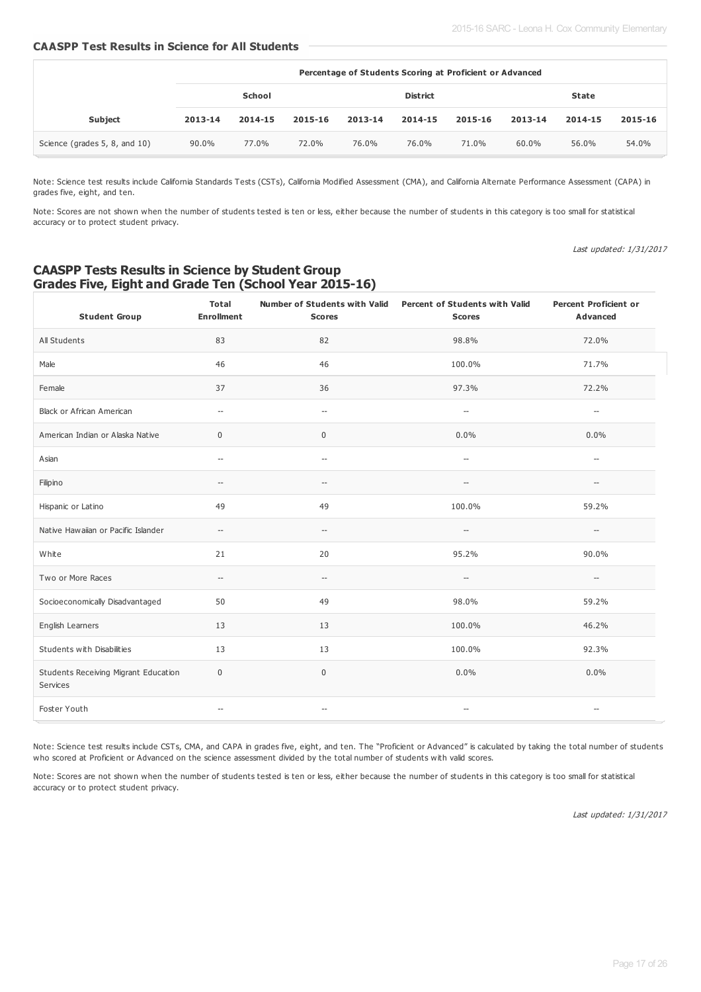### **CAASPP Test Results in Science for All Students**

|                               |         | Percentage of Students Scoring at Proficient or Advanced |         |         |                 |         |         |         |         |
|-------------------------------|---------|----------------------------------------------------------|---------|---------|-----------------|---------|---------|---------|---------|
|                               | School  |                                                          |         |         | <b>District</b> |         | State   |         |         |
| <b>Subject</b>                | 2013-14 | 2014-15                                                  | 2015-16 | 2013-14 | 2014-15         | 2015-16 | 2013-14 | 2014-15 | 2015-16 |
| Science (grades 5, 8, and 10) | 90.0%   | 77.0%                                                    | 72.0%   | 76.0%   | 76.0%           | 71.0%   | 60.0%   | 56.0%   | 54.0%   |

Note: Science test results include California Standards Tests (CSTs), California Modified Assessment (CMA), and California Alternate Performance Assessment (CAPA) in grades five, eight, and ten.

Note: Scores are not shown when the number of students tested is ten or less, either because the number of students in this category is too small for statistical accuracy or to protect student privacy.

Last updated: 1/31/2017

## **CAASPP Tests Results in Science by Student Group Grades Five, Eight and Grade Ten (School Year 2015-16)**

| <b>Student Group</b>                             | Total<br><b>Enrollment</b>                          | <b>Scores</b>            | Number of Students with Valid Percent of Students with Valid<br><b>Scores</b> | <b>Percent Proficient or</b><br>Advanced            |
|--------------------------------------------------|-----------------------------------------------------|--------------------------|-------------------------------------------------------------------------------|-----------------------------------------------------|
| All Students                                     | 83                                                  | 82                       | 98.8%                                                                         | 72.0%                                               |
| Male                                             | 46                                                  | 46                       | 100.0%                                                                        | 71.7%                                               |
| Female                                           | 37                                                  | 36                       | 97.3%                                                                         | 72.2%                                               |
| Black or African American                        | $\hspace{0.05cm} -\hspace{0.05cm} -\hspace{0.05cm}$ | $\overline{\phantom{a}}$ | $\hspace{0.05cm} -\hspace{0.05cm} -\hspace{0.05cm}$                           | $\overline{\phantom{a}}$                            |
| American Indian or Alaska Native                 | $\mathbf 0$                                         | $\mathsf 0$              | 0.0%                                                                          | 0.0%                                                |
| Asian                                            | $\overline{\phantom{a}}$                            | $\overline{\phantom{a}}$ | $\overline{\phantom{a}}$                                                      | $\overline{\phantom{a}}$                            |
| Filipino                                         | $\hspace{0.05cm} -\hspace{0.05cm} -\hspace{0.05cm}$ | $\overline{\phantom{a}}$ | $\hspace{0.05cm} -\hspace{0.05cm} -\hspace{0.05cm}$                           | $\overline{\phantom{a}}$                            |
| Hispanic or Latino                               | 49                                                  | 49                       | 100.0%                                                                        | 59.2%                                               |
| Native Hawaiian or Pacific Islander              | $\hspace{0.05cm} -\hspace{0.05cm} -\hspace{0.05cm}$ | $-\!$                    | $-\!$                                                                         | $-\!$                                               |
| White                                            | 21                                                  | 20                       | 95.2%                                                                         | 90.0%                                               |
| Two or More Races                                | $\hspace{0.05cm} -\hspace{0.05cm} -\hspace{0.05cm}$ | $-\!$                    | $\hspace{0.05cm} -\hspace{0.05cm} -\hspace{0.05cm}$                           | $\hspace{0.05cm} -\hspace{0.05cm} -\hspace{0.05cm}$ |
| Socioeconomically Disadvantaged                  | 50                                                  | 49                       | 98.0%                                                                         | 59.2%                                               |
| English Learners                                 | 13                                                  | 13                       | 100.0%                                                                        | 46.2%                                               |
| Students with Disabilities                       | 13                                                  | 13                       | 100.0%                                                                        | 92.3%                                               |
| Students Receiving Migrant Education<br>Services | $\mathbf 0$                                         | $\mathsf 0$              | 0.0%                                                                          | 0.0%                                                |
| Foster Youth                                     | $\hspace{0.05cm} -\hspace{0.05cm} -\hspace{0.05cm}$ | $\overline{\phantom{a}}$ | $\overline{\phantom{a}}$                                                      | $\hspace{0.05cm} -\hspace{0.05cm} -\hspace{0.05cm}$ |

Note: Science test results include CSTs, CMA, and CAPA in grades five, eight, and ten. The "Proficient or Advanced" is calculated by taking the total number of students who scored at Proficient or Advanced on the science assessment divided by the total number of students with valid scores.

Note: Scores are not shown when the number of students tested is ten or less, either because the number of students in this category is too small for statistical accuracy or to protect student privacy.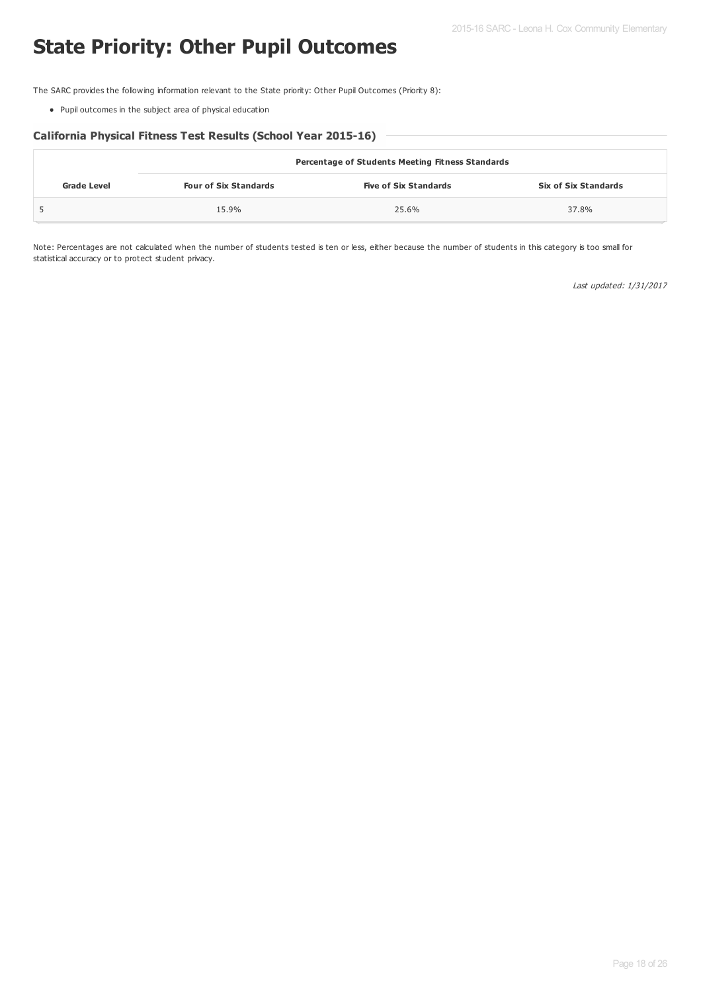# **State Priority: Other Pupil Outcomes**

The SARC provides the following information relevant to the State priority: Other Pupil Outcomes (Priority 8):

Pupil outcomes in the subject area of physical education

# **California Physical Fitness Test Results (School Year 2015-16)**

|             |                              | <b>Percentage of Students Meeting Fitness Standards</b> |                             |
|-------------|------------------------------|---------------------------------------------------------|-----------------------------|
| Grade Level | <b>Four of Six Standards</b> | <b>Five of Six Standards</b>                            | <b>Six of Six Standards</b> |
|             | 15.9%                        | 25.6%                                                   | 37.8%                       |

Note: Percentages are not calculated when the number of students tested is ten or less, either because the number of students in this category is too small for statistical accuracy or to protect student privacy.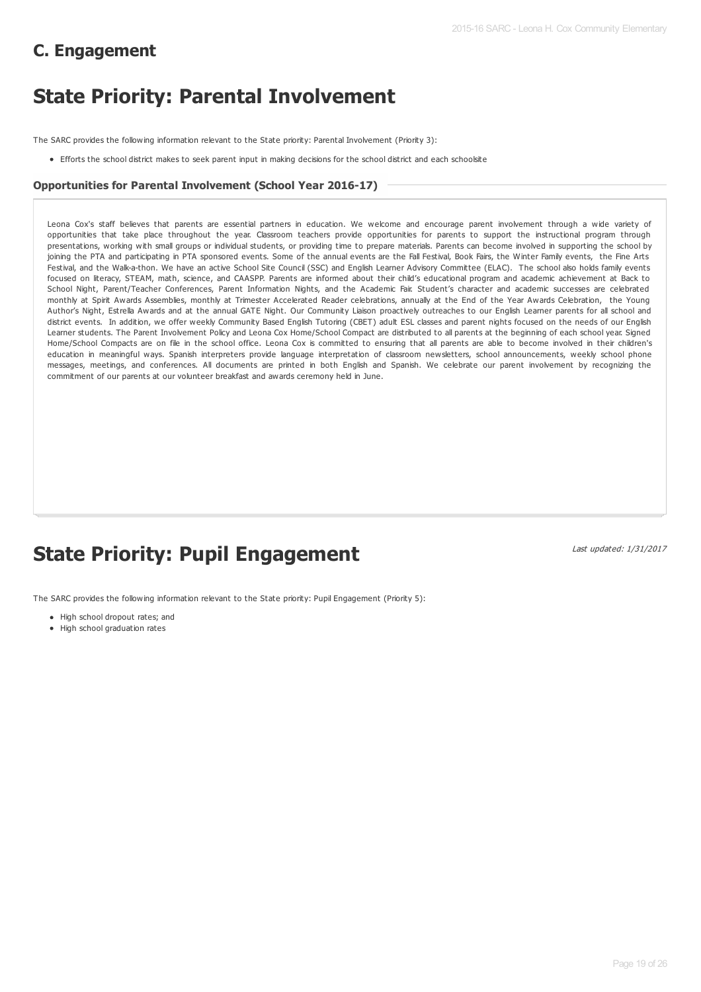# **C. Engagement**

# **State Priority: Parental Involvement**

The SARC provides the following information relevant to the State priority: Parental Involvement (Priority 3):

Efforts the school district makes to seek parent input in making decisions for the school district and each schoolsite

### **Opportunities for Parental Involvement (School Year 2016-17)**

Leona Cox's staff believes that parents are essential partners in education. We welcome and encourage parent involvement through a wide variety of opportunities that take place throughout the year. Classroom teachers provide opportunities for parents to support the instructional program through presentations, working with small groups or individual students, or providing time to prepare materials. Parents can become involved in supporting the school by joining the PTA and participating in PTA sponsored events. Some of the annual events are the Fall Festival, Book Fairs, the Winter Family events, the Fine Arts Festival, and the Walk-a-thon. We have an active School Site Council (SSC) and English Learner Advisory Committee (ELAC). The school also holds family events focused on literacy, STEAM, math, science, and CAASPP. Parents are informed about their child's educational program and academic achievement at Back to School Night, Parent/Teacher Conferences, Parent Information Nights, and the Academic Fair. Student's character and academic successes are celebrated monthly at Spirit Awards Assemblies, monthly at Trimester Accelerated Reader celebrations, annually at the End of the Year Awards Celebration, the Young Author's Night, Estrella Awards and at the annual GATE Night. Our Community Liaison proactively outreaches to our English Learner parents for all school and district events. In addition, we offer weekly Community Based English Tutoring (CBET) adult ESL classes and parent nights focused on the needs of our English Learner students. The Parent Involvement Policy and Leona Cox Home/School Compact are distributed to all parents at the beginning of each school year. Signed Home/School Compacts are on file in the school office. Leona Cox is committed to ensuring that all parents are able to become involved in their children's education in meaningful ways. Spanish interpreters provide language interpretation of classroom newsletters, school announcements, weekly school phone messages, meetings, and conferences. All documents are printed in both English and Spanish. We celebrate our parent involvement by recognizing the commitment of our parents at our volunteer breakfast and awards ceremony held in June.

# **State Priority: Pupil Engagement**

Last updated: 1/31/2017

The SARC provides the following information relevant to the State priority: Pupil Engagement (Priority 5):

- High school dropout rates; and
- High school graduation rates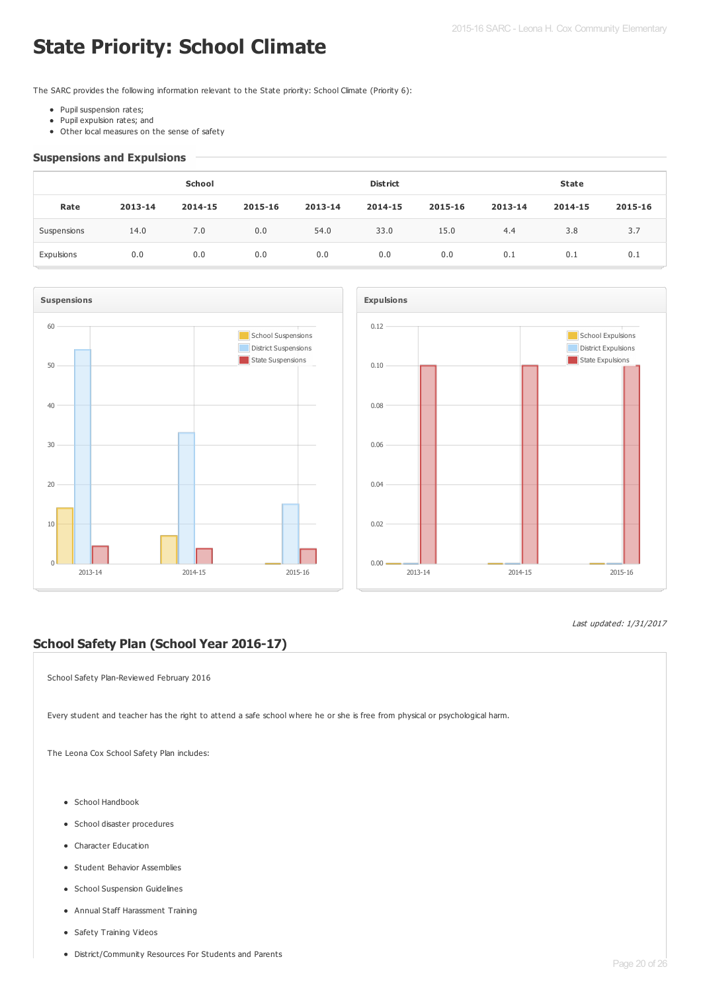# **State Priority: School Climate**

The SARC provides the following information relevant to the State priority: School Climate (Priority 6):

- Pupil suspension rates;
- Pupil expulsion rates; and
- Other local measures on the sense of safety

#### **Suspensions and Expulsions**

|             | <b>School</b> |         |         |         | <b>District</b> |         | <b>State</b> |         |         |  |
|-------------|---------------|---------|---------|---------|-----------------|---------|--------------|---------|---------|--|
| Rate        | 2013-14       | 2014-15 | 2015-16 | 2013-14 | 2014-15         | 2015-16 | 2013-14      | 2014-15 | 2015-16 |  |
| Suspensions | 14.0          | 7.0     | 0.0     | 54.0    | 33.0            | 15.0    | 4.4          | 3.8     | 3.7     |  |
| Expulsions  | 0.0           | 0.0     | 0.0     | 0.0     | 0.0             | 0.0     | 0.1          | 0.1     | 0.1     |  |





#### Last updated: 1/31/2017

# **School Safety Plan (School Year 2016-17)**

School Safety Plan-Reviewed February 2016

Every student and teacher has the right to attend a safe school where he or she is free from physical or psychological harm.

The Leona Cox School Safety Plan includes:

- School Handbook
- School disaster procedures
- Character Education
- **•** Student Behavior Assemblies
- **•** School Suspension Guidelines
- Annual Staff Harassment Training
- Safety Training Videos
- District/Community Resources For Students and Parents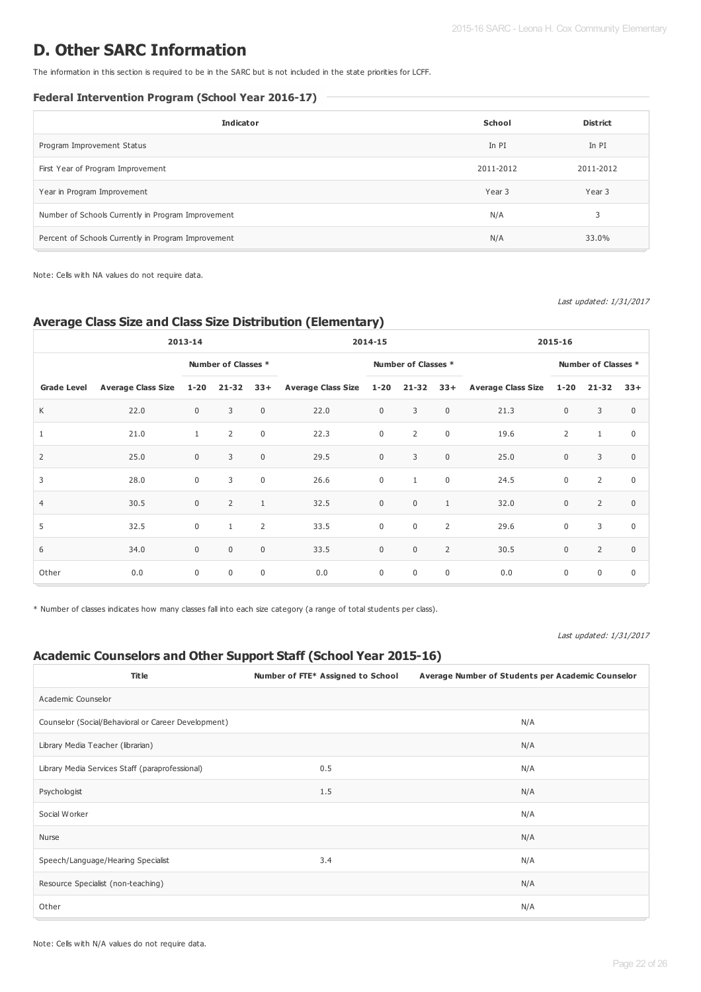# **D. Other SARC Information**

The information in this section is required to be in the SARC but is not included in the state priorities for LCFF.

### **Federal Intervention Program (School Year 2016-17)**

| <b>Indicator</b>                                    | School    | <b>District</b> |
|-----------------------------------------------------|-----------|-----------------|
| Program Improvement Status                          | In PI     | In PI           |
| First Year of Program Improvement                   | 2011-2012 | 2011-2012       |
| Year in Program Improvement                         | Year 3    | Year 3          |
| Number of Schools Currently in Program Improvement  | N/A       |                 |
| Percent of Schools Currently in Program Improvement | N/A       | 33.0%           |

Note: Cells with NA values do not require data.

Last updated: 1/31/2017

# **Average Class Size and Class Size Distribution (Elementary)**

|                    | 2013-14                   |              |                     |              |                               | 2014-15          |                |                |                        | 2015-16             |                |              |  |
|--------------------|---------------------------|--------------|---------------------|--------------|-------------------------------|------------------|----------------|----------------|------------------------|---------------------|----------------|--------------|--|
|                    |                           |              | Number of Classes * |              | Number of Classes *           |                  |                |                |                        | Number of Classes * |                |              |  |
| <b>Grade Level</b> | <b>Average Class Size</b> | $1 - 20$     | $21 - 32$           | $33+$        | Average Class Size 1-20 21-32 |                  |                |                | 33+ Average Class Size | $1 - 20$            | $21 - 32$      | $33+$        |  |
| K                  | 22.0                      | $\mathbf{0}$ | 3                   | $\mathbf 0$  | 22.0                          | $\mathbf{0}$     | 3              | $\pmb{0}$      | 21.3                   | $\mathbf 0$         | 3              | $\Omega$     |  |
| $\mathbf{1}$       | 21.0                      | $\mathbf{1}$ | $\overline{2}$      | $\mathbf 0$  | 22.3                          | $\boldsymbol{0}$ | $\overline{2}$ | $\mathsf 0$    | 19.6                   | 2                   | $\mathbf{1}$   | $\mathbf 0$  |  |
| $\overline{2}$     | 25.0                      | $\mathbf{0}$ | 3                   | $\mathbf{0}$ | 29.5                          | $\mathsf 0$      | 3              | $\mathsf 0$    | 25.0                   | $\mathbf{0}$        | 3              | $\mathbf{0}$ |  |
| 3                  | 28.0                      | $\mathbf 0$  | 3                   | $\mathbf 0$  | 26.6                          | $\boldsymbol{0}$ | $\mathbf{1}$   | $\mathsf 0$    | 24.5                   | $\boldsymbol{0}$    | $\overline{2}$ | $\mathbf 0$  |  |
| $\overline{4}$     | 30.5                      | $\mathbf{0}$ | $\overline{2}$      | $\mathbf{1}$ | 32.5                          | $\mathbf{0}$     | $\mathbf 0$    | $\mathbf{1}$   | 32.0                   | $\mathbf{0}$        | $\overline{2}$ | $\mathbf{0}$ |  |
| 5                  | 32.5                      | $\mathbf 0$  | $\mathbf{1}$        | 2            | 33.5                          | $\mathbf 0$      | $\mathbf 0$    | $\overline{2}$ | 29.6                   | $\mathbf 0$         | 3              | $\mathbf{0}$ |  |
| 6                  | 34.0                      | $\mathbf{0}$ | $\mathbf{0}$        | $\mathbf{0}$ | 33.5                          | $\mathsf 0$      | $\mathbf 0$    | $\overline{2}$ | 30.5                   | $\mathbf 0$         | 2              | $\mathbf 0$  |  |
| Other              | 0.0                       | $\mathbf 0$  | $\mathbf{0}$        | $\mathbf 0$  | 0.0                           | $\mathbf 0$      | $\mathbf 0$    | $\mathsf 0$    | 0.0                    | 0                   | $\mathbf 0$    | $\mathbf 0$  |  |

\* Number of classes indicates how many classes fall into each size category (a range of total students per class).

Last updated: 1/31/2017

# **Academic Counselors and Other Support Staff (School Year 2015-16)**

| <b>Title</b>                                        | Number of FTE* Assigned to School | Average Number of Students per Academic Counselor |
|-----------------------------------------------------|-----------------------------------|---------------------------------------------------|
| Academic Counselor                                  |                                   |                                                   |
| Counselor (Social/Behavioral or Career Development) |                                   | N/A                                               |
| Library Media Teacher (librarian)                   |                                   | N/A                                               |
| Library Media Services Staff (paraprofessional)     | 0.5                               | N/A                                               |
| Psychologist                                        | 1.5                               | N/A                                               |
| Social Worker                                       |                                   | N/A                                               |
| Nurse                                               |                                   | N/A                                               |
| Speech/Language/Hearing Specialist                  | 3.4                               | N/A                                               |
| Resource Specialist (non-teaching)                  |                                   | N/A                                               |
| Other                                               |                                   | N/A                                               |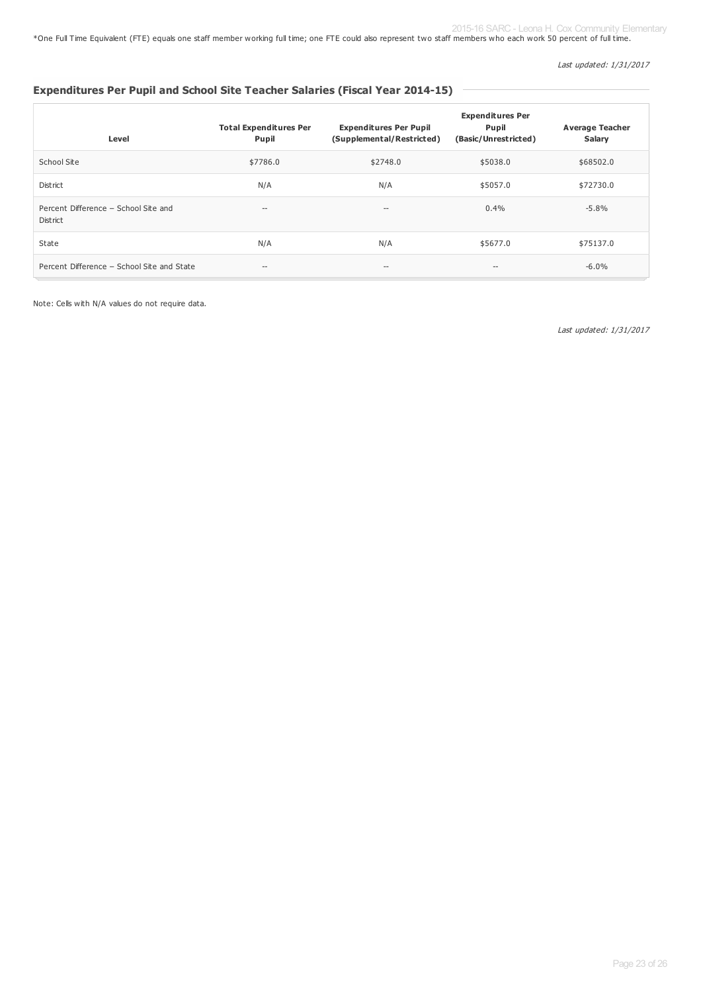\*One Full Time Equivalent (FTE) equals one staff member working full time; one FTE could also represent two staff members who each work 50 percent of full time. 2015-16 SARC - Leona H. Cox Community Elementary

Last updated: 1/31/2017

## **Expenditures Per Pupil and School Site Teacher Salaries (Fiscal Year 2014-15)**

|                                                  |                                               | <b>Expenditures Per</b>                                    |                               |                                  |
|--------------------------------------------------|-----------------------------------------------|------------------------------------------------------------|-------------------------------|----------------------------------|
| Level                                            | <b>Total Expenditures Per</b><br><b>Pupil</b> | <b>Expenditures Per Pupil</b><br>(Supplemental/Restricted) | Pupil<br>(Basic/Unrestricted) | <b>Average Teacher</b><br>Salary |
| School Site                                      | \$7786.0                                      | \$2748.0                                                   | \$5038.0                      | \$68502.0                        |
| District                                         | N/A                                           | N/A                                                        | \$5057.0                      | \$72730.0                        |
| Percent Difference - School Site and<br>District | $-$                                           | $\hspace{0.05cm}$ – $\hspace{0.05cm}$                      | 0.4%                          | $-5.8%$                          |
| State                                            | N/A                                           | N/A                                                        | \$5677.0                      | \$75137.0                        |
| Percent Difference - School Site and State       | $- -$                                         | $-\,$                                                      | $\qquad \qquad -$             | $-6.0%$                          |

Note: Cells with N/A values do not require data.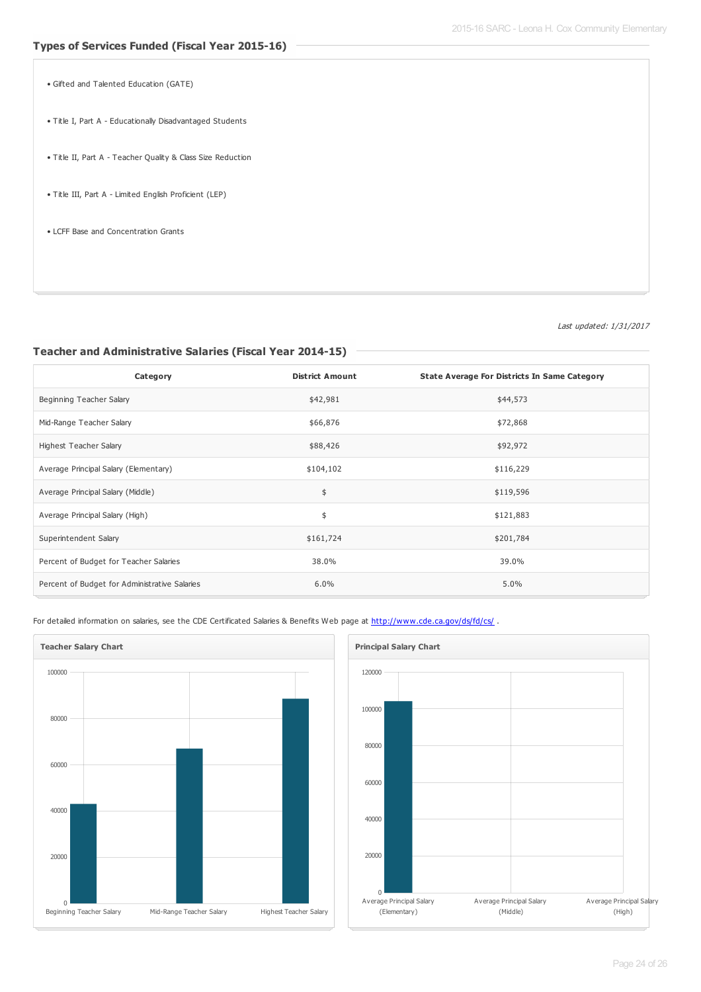- Gifted and Talented Education (GATE)
- Title I, Part A Educationally Disadvantaged Students
- Title II, Part A Teacher Quality & Class Size Reduction
- Title III, Part A Limited English Proficient (LEP)
- LCFF Base and Concentration Grants

Last updated: 1/31/2017

#### **Teacher and Administrative Salaries (Fiscal Year 2014-15)**

| Category                                      | <b>District Amount</b> | State Average For Districts In Same Category |
|-----------------------------------------------|------------------------|----------------------------------------------|
| Beginning Teacher Salary                      | \$42,981               | \$44,573                                     |
| Mid-Range Teacher Salary                      | \$66,876               | \$72,868                                     |
| <b>Highest Teacher Salary</b>                 | \$88,426               | \$92,972                                     |
| Average Principal Salary (Elementary)         | \$104,102              | \$116,229                                    |
| Average Principal Salary (Middle)             | \$                     | \$119,596                                    |
| Average Principal Salary (High)               | \$                     | \$121,883                                    |
| Superintendent Salary                         | \$161,724              | \$201,784                                    |
| Percent of Budget for Teacher Salaries        | 38.0%                  | 39.0%                                        |
| Percent of Budget for Administrative Salaries | 6.0%                   | 5.0%                                         |

For detailed information on salaries, see the CDE Certificated Salaries & Benefits Web page at <http://www.cde.ca.gov/ds/fd/cs/> .



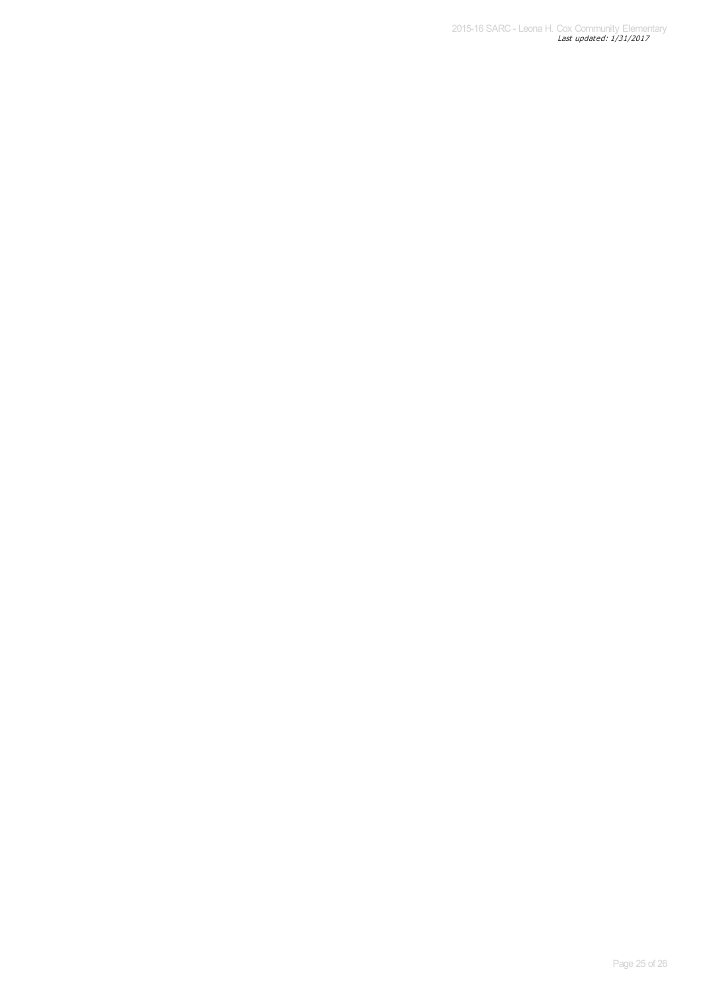2015-16 SARC - Leona H. Cox Community Elementary<br>Last updated: 1/31/2017